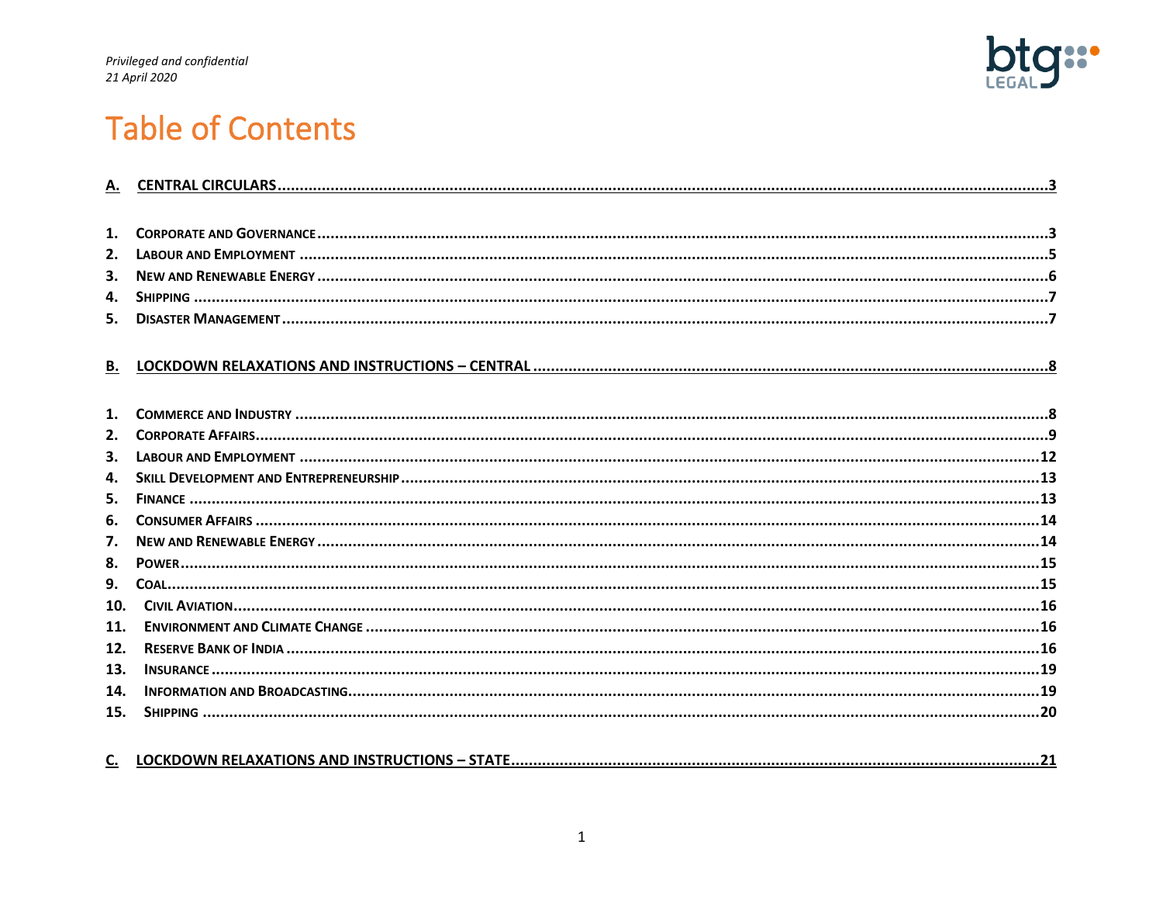

# **Table of Contents**

| $\mathbf{1}$ . |  |
|----------------|--|
| 2.             |  |
| 3.             |  |
| 4.             |  |
| 5.             |  |
|                |  |
| В.             |  |
| 1.             |  |
| 2.             |  |
| 3.             |  |
| $\mathbf{4}$   |  |
| 5.             |  |
| 6.             |  |
|                |  |
| 7.             |  |
| 8.             |  |
| 9.             |  |
| 10.            |  |
| 11.            |  |
| 12.            |  |
| 13.            |  |
| 14.            |  |
| 15.            |  |
|                |  |

| <b>STATE</b><br>LOCKDOWN RELAXATIONS AND INSTRUCTIONS - 9<br>J. |  |
|-----------------------------------------------------------------|--|
|-----------------------------------------------------------------|--|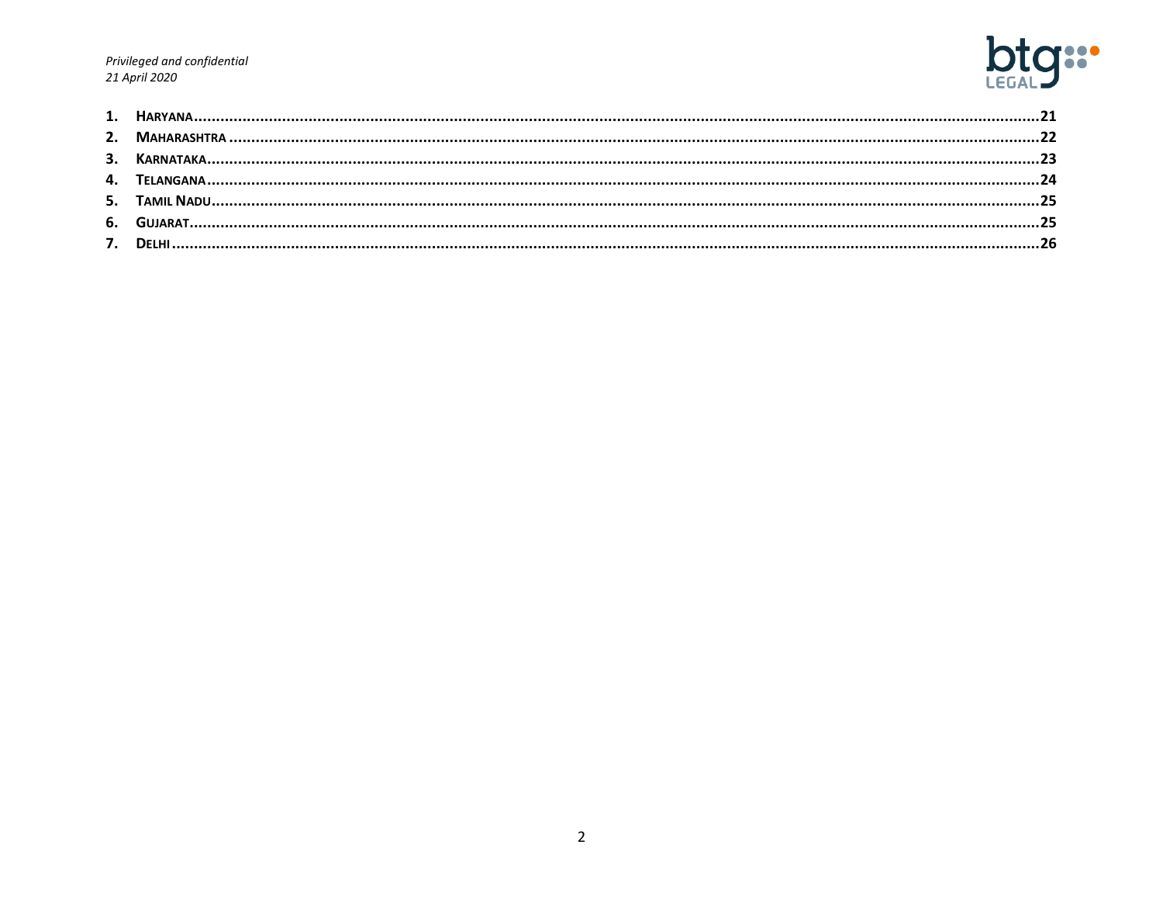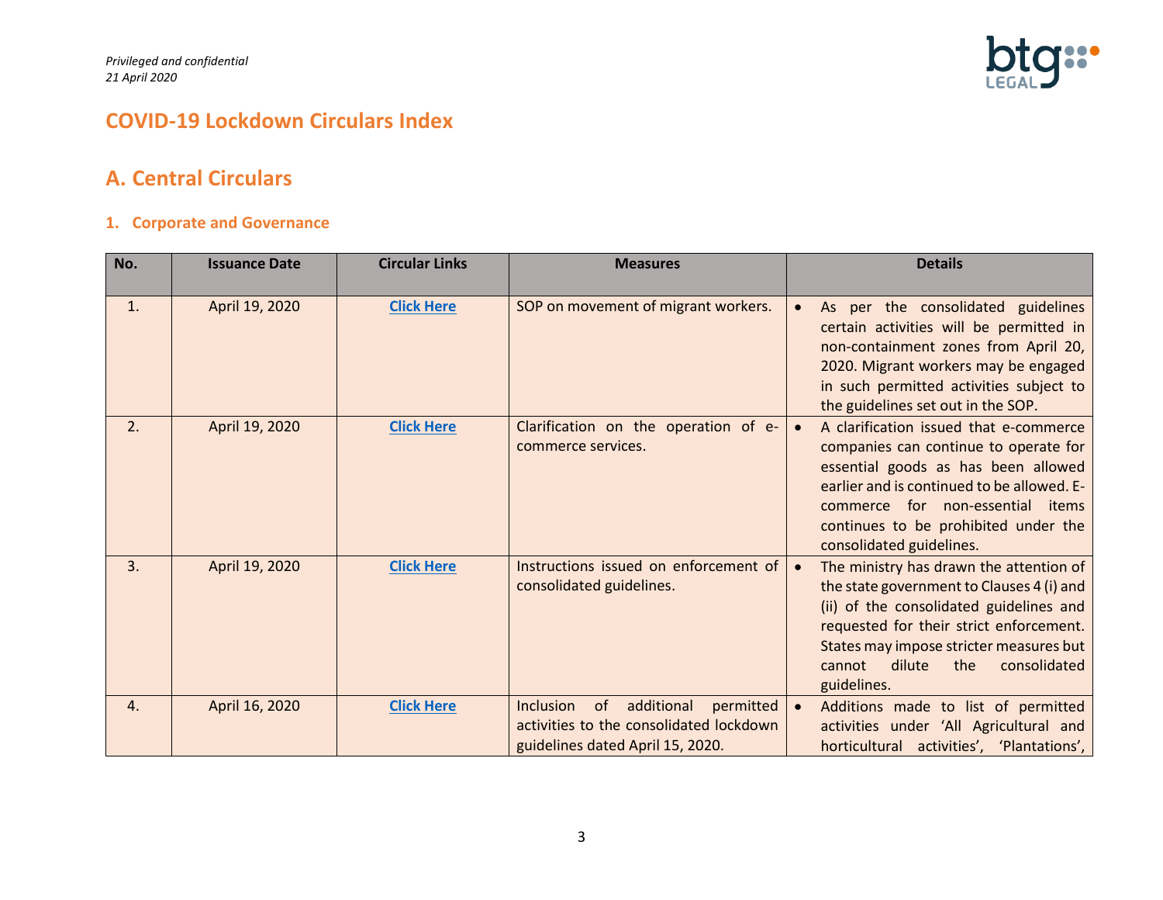

# **COVID-19 Lockdown Circulars Index**

# <span id="page-2-0"></span>**A. Central Circulars**

#### <span id="page-2-1"></span>**1. Corporate and Governance**

| No. | <b>Issuance Date</b> | <b>Circular Links</b> | <b>Measures</b>                                                                                                           | <b>Details</b>                                                                                                                                                                                                                                                                               |
|-----|----------------------|-----------------------|---------------------------------------------------------------------------------------------------------------------------|----------------------------------------------------------------------------------------------------------------------------------------------------------------------------------------------------------------------------------------------------------------------------------------------|
| 1.  | April 19, 2020       | <b>Click Here</b>     | SOP on movement of migrant workers.                                                                                       | As per the consolidated guidelines<br>$\bullet$<br>certain activities will be permitted in<br>non-containment zones from April 20,<br>2020. Migrant workers may be engaged<br>in such permitted activities subject to<br>the guidelines set out in the SOP.                                  |
| 2.  | April 19, 2020       | <b>Click Here</b>     | Clarification on the operation of e-<br>commerce services.                                                                | A clarification issued that e-commerce<br>$\bullet$<br>companies can continue to operate for<br>essential goods as has been allowed<br>earlier and is continued to be allowed. E-<br>commerce for non-essential items<br>continues to be prohibited under the<br>consolidated guidelines.    |
| 3.  | April 19, 2020       | <b>Click Here</b>     | Instructions issued on enforcement of<br>consolidated guidelines.                                                         | The ministry has drawn the attention of<br>$\bullet$<br>the state government to Clauses 4 (i) and<br>(ii) of the consolidated guidelines and<br>requested for their strict enforcement.<br>States may impose stricter measures but<br>cannot<br>dilute<br>consolidated<br>the<br>guidelines. |
| 4.  | April 16, 2020       | <b>Click Here</b>     | Inclusion<br>of<br>additional<br>permitted<br>activities to the consolidated lockdown<br>guidelines dated April 15, 2020. | Additions made to list of permitted<br>activities under 'All Agricultural and<br>horticultural activities', 'Plantations',                                                                                                                                                                   |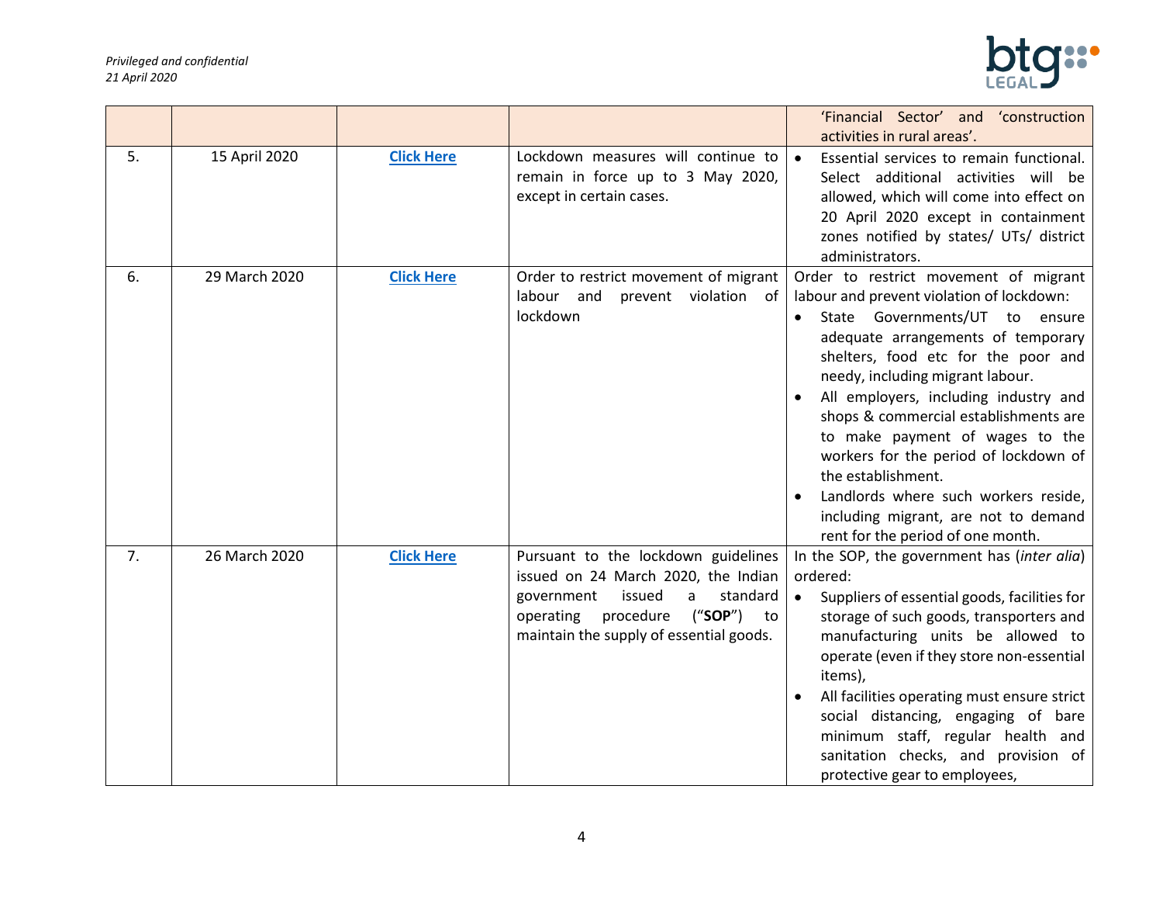

|    |               |                   |                                                                                                                                                                                                           | 'Financial Sector' and 'construction<br>activities in rural areas'.                                                                                                                                                                                                                                                                                                                                                                                                                                                                            |
|----|---------------|-------------------|-----------------------------------------------------------------------------------------------------------------------------------------------------------------------------------------------------------|------------------------------------------------------------------------------------------------------------------------------------------------------------------------------------------------------------------------------------------------------------------------------------------------------------------------------------------------------------------------------------------------------------------------------------------------------------------------------------------------------------------------------------------------|
| 5. | 15 April 2020 | <b>Click Here</b> | Lockdown measures will continue to<br>remain in force up to 3 May 2020,<br>except in certain cases.                                                                                                       | Essential services to remain functional.<br>$\bullet$<br>Select additional activities will be<br>allowed, which will come into effect on<br>20 April 2020 except in containment<br>zones notified by states/ UTs/ district<br>administrators.                                                                                                                                                                                                                                                                                                  |
| 6. | 29 March 2020 | <b>Click Here</b> | Order to restrict movement of migrant<br>labour and<br>prevent violation of<br>lockdown                                                                                                                   | Order to restrict movement of migrant<br>labour and prevent violation of lockdown:<br>State Governments/UT to ensure<br>adequate arrangements of temporary<br>shelters, food etc for the poor and<br>needy, including migrant labour.<br>All employers, including industry and<br>shops & commercial establishments are<br>to make payment of wages to the<br>workers for the period of lockdown of<br>the establishment.<br>Landlords where such workers reside,<br>including migrant, are not to demand<br>rent for the period of one month. |
| 7. | 26 March 2020 | <b>Click Here</b> | Pursuant to the lockdown guidelines<br>issued on 24 March 2020, the Indian<br>issued<br>standard<br>government<br>a<br>procedure<br>("SOP")<br>operating<br>to<br>maintain the supply of essential goods. | In the SOP, the government has (inter alia)<br>ordered:<br>Suppliers of essential goods, facilities for<br>$\bullet$<br>storage of such goods, transporters and<br>manufacturing units be allowed to<br>operate (even if they store non-essential<br>items),<br>All facilities operating must ensure strict<br>social distancing, engaging of bare<br>minimum staff, regular health and<br>sanitation checks, and provision of<br>protective gear to employees,                                                                                |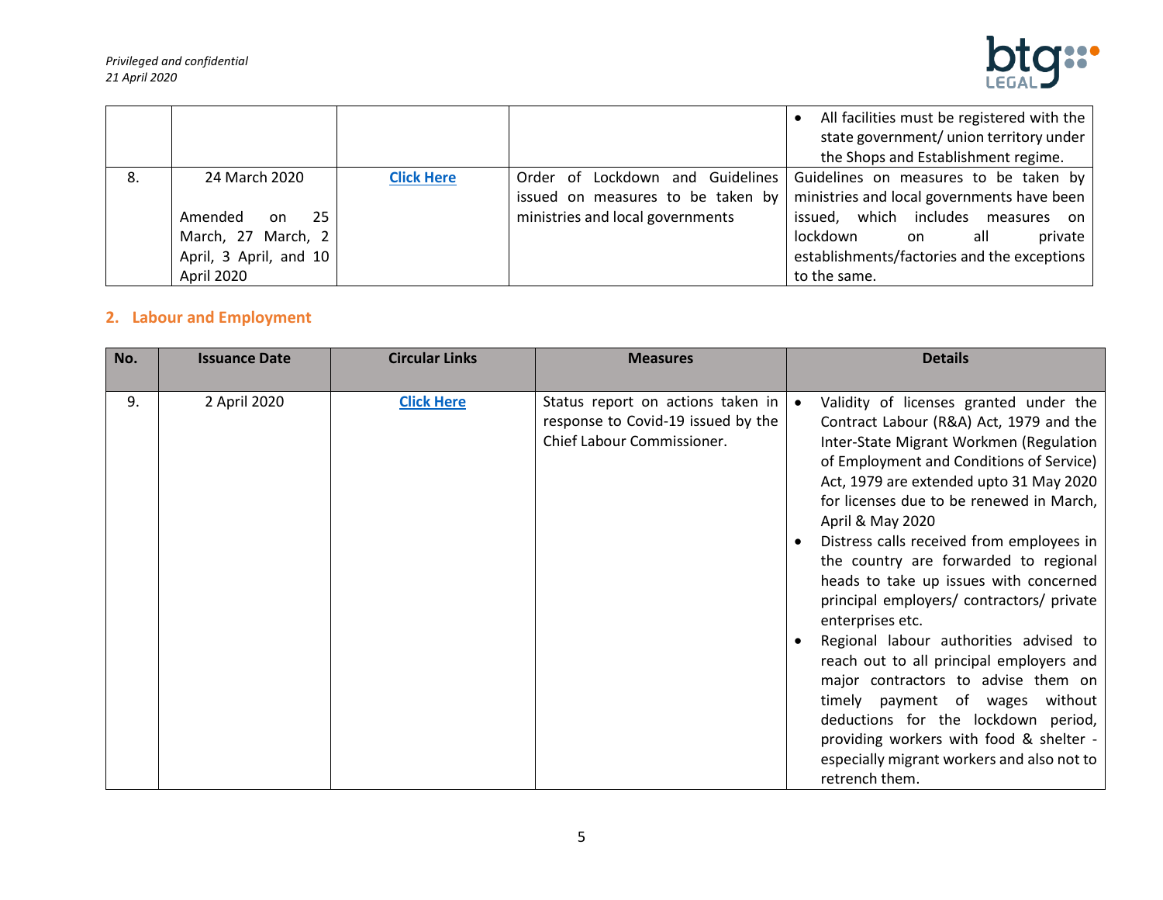

|    |                                                                                                     |                   |                                                                                                           | All facilities must be registered with the<br>$\bullet$<br>state government/ union territory under<br>the Shops and Establishment regime.                                                                                    |
|----|-----------------------------------------------------------------------------------------------------|-------------------|-----------------------------------------------------------------------------------------------------------|------------------------------------------------------------------------------------------------------------------------------------------------------------------------------------------------------------------------------|
| 8. | 24 March 2020<br>25<br>Amended<br>on.<br>March, 27 March, 2<br>April, 3 April, and 10<br>April 2020 | <b>Click Here</b> | Order of Lockdown and Guidelines<br>issued on measures to be taken by<br>ministries and local governments | Guidelines on measures to be taken by<br>ministries and local governments have been<br>issued, which includes measures on<br>lockdown<br>all<br>private<br>on<br>establishments/factories and the exceptions<br>to the same. |

# <span id="page-4-0"></span>**2. Labour and Employment**

| No. | <b>Issuance Date</b> | <b>Circular Links</b> | <b>Measures</b>                                                                                       | <b>Details</b>                                                                                                                                                                                                                                                                                                                                                                                                                                                                                                                                                                                                                                                                                                                                                                                            |
|-----|----------------------|-----------------------|-------------------------------------------------------------------------------------------------------|-----------------------------------------------------------------------------------------------------------------------------------------------------------------------------------------------------------------------------------------------------------------------------------------------------------------------------------------------------------------------------------------------------------------------------------------------------------------------------------------------------------------------------------------------------------------------------------------------------------------------------------------------------------------------------------------------------------------------------------------------------------------------------------------------------------|
| 9.  | 2 April 2020         | <b>Click Here</b>     | Status report on actions taken in<br>response to Covid-19 issued by the<br>Chief Labour Commissioner. | Validity of licenses granted under the<br>Contract Labour (R&A) Act, 1979 and the<br>Inter-State Migrant Workmen (Regulation<br>of Employment and Conditions of Service)<br>Act, 1979 are extended upto 31 May 2020<br>for licenses due to be renewed in March,<br>April & May 2020<br>Distress calls received from employees in<br>the country are forwarded to regional<br>heads to take up issues with concerned<br>principal employers/ contractors/ private<br>enterprises etc.<br>Regional labour authorities advised to<br>reach out to all principal employers and<br>major contractors to advise them on<br>timely payment of wages<br>without<br>deductions for the lockdown period,<br>providing workers with food & shelter -<br>especially migrant workers and also not to<br>retrench them. |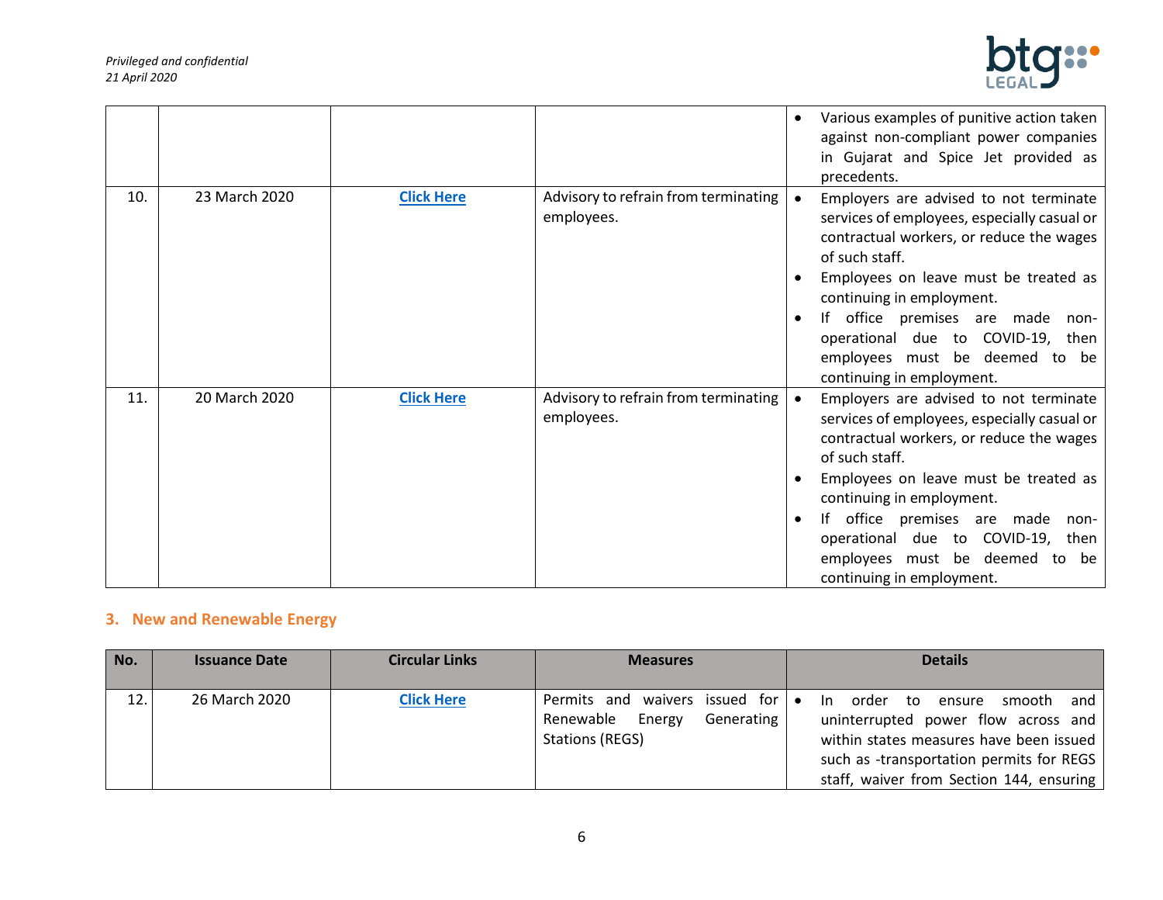

|     |               |                   |                                                    | Various examples of punitive action taken<br>against non-compliant power companies<br>in Gujarat and Spice Jet provided as<br>precedents.                                                                                                                                                                                                                            |
|-----|---------------|-------------------|----------------------------------------------------|----------------------------------------------------------------------------------------------------------------------------------------------------------------------------------------------------------------------------------------------------------------------------------------------------------------------------------------------------------------------|
| 10. | 23 March 2020 | <b>Click Here</b> | Advisory to refrain from terminating<br>employees. | Employers are advised to not terminate<br>services of employees, especially casual or<br>contractual workers, or reduce the wages<br>of such staff.<br>Employees on leave must be treated as<br>continuing in employment.<br>If office premises are made non-<br>operational due to COVID-19, then<br>employees must be deemed to be<br>continuing in employment.    |
| 11. | 20 March 2020 | <b>Click Here</b> | Advisory to refrain from terminating<br>employees. | Employers are advised to not terminate<br>services of employees, especially casual or<br>contractual workers, or reduce the wages<br>of such staff.<br>Employees on leave must be treated as<br>continuing in employment.<br>If office premises are made<br>non-<br>operational due to COVID-19, then<br>employees must be deemed to be<br>continuing in employment. |

# <span id="page-5-0"></span>**3. New and Renewable Energy**

| No. | <b>Issuance Date</b> | <b>Circular Links</b> | <b>Measures</b>                                                                                         | <b>Details</b>                                                                                                                                                                                                       |
|-----|----------------------|-----------------------|---------------------------------------------------------------------------------------------------------|----------------------------------------------------------------------------------------------------------------------------------------------------------------------------------------------------------------------|
| 12. | 26 March 2020        | <b>Click Here</b>     | Permits and waivers issued for $\bullet$<br>Renewable<br>Energy<br>Generating<br><b>Stations (REGS)</b> | order<br>smooth<br>and<br>ln.<br>to ensure<br>uninterrupted power flow across and<br>within states measures have been issued<br>such as -transportation permits for REGS<br>staff, waiver from Section 144, ensuring |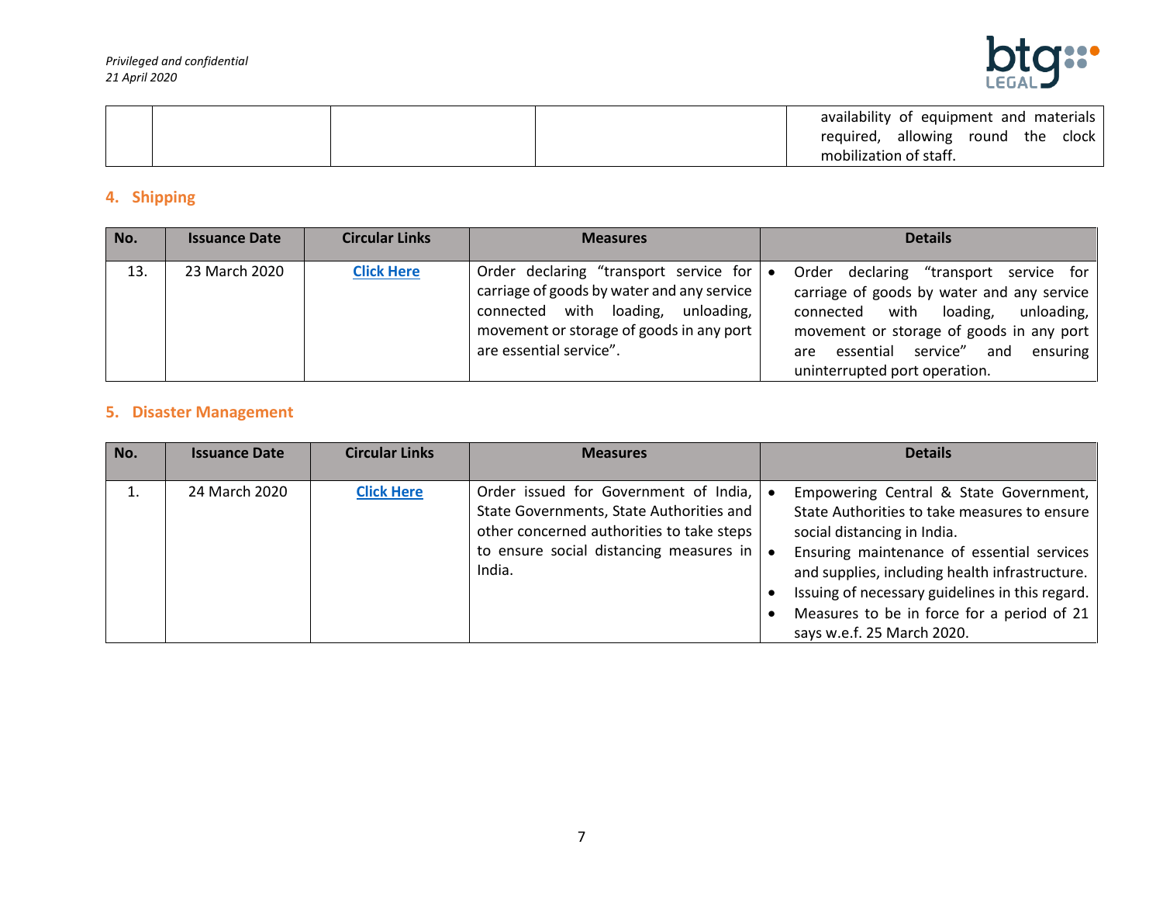

|  | availability of equipment and materials  |
|--|------------------------------------------|
|  | allowing<br>round the clock<br>required, |
|  | mobilization of staff.                   |

## <span id="page-6-0"></span>**4. Shipping**

| No. | <b>Issuance Date</b> | <b>Circular Links</b> | <b>Measures</b>                                                                                                                                                                                   | <b>Details</b>                                                                                                                                                                                                                                                       |
|-----|----------------------|-----------------------|---------------------------------------------------------------------------------------------------------------------------------------------------------------------------------------------------|----------------------------------------------------------------------------------------------------------------------------------------------------------------------------------------------------------------------------------------------------------------------|
| 13. | 23 March 2020        | <b>Click Here</b>     | Order declaring "transport service for<br>carriage of goods by water and any service<br>connected with loading, unloading,<br>movement or storage of goods in any port<br>are essential service". | Order declaring<br>"transport service for<br>$\bullet$<br>carriage of goods by water and any service<br>connected with loading,<br>unloading,<br>movement or storage of goods in any port<br>are essential service" and<br>ensuring<br>uninterrupted port operation. |

#### <span id="page-6-1"></span>**5. Disaster Management**

| No. | <b>Issuance Date</b> | <b>Circular Links</b> | <b>Measures</b>                                                                       | <b>Details</b>                                                                               |
|-----|----------------------|-----------------------|---------------------------------------------------------------------------------------|----------------------------------------------------------------------------------------------|
|     |                      |                       |                                                                                       |                                                                                              |
|     | 24 March 2020        | <b>Click Here</b>     | Order issued for Government of India,                                                 | Empowering Central & State Government,                                                       |
|     |                      |                       | State Governments, State Authorities and<br>other concerned authorities to take steps | State Authorities to take measures to ensure<br>social distancing in India.                  |
|     |                      |                       | to ensure social distancing measures in                                               |                                                                                              |
|     |                      |                       | India.                                                                                | Ensuring maintenance of essential services<br>and supplies, including health infrastructure. |
|     |                      |                       |                                                                                       | Issuing of necessary guidelines in this regard.                                              |
|     |                      |                       |                                                                                       | Measures to be in force for a period of 21                                                   |
|     |                      |                       |                                                                                       | says w.e.f. 25 March 2020.                                                                   |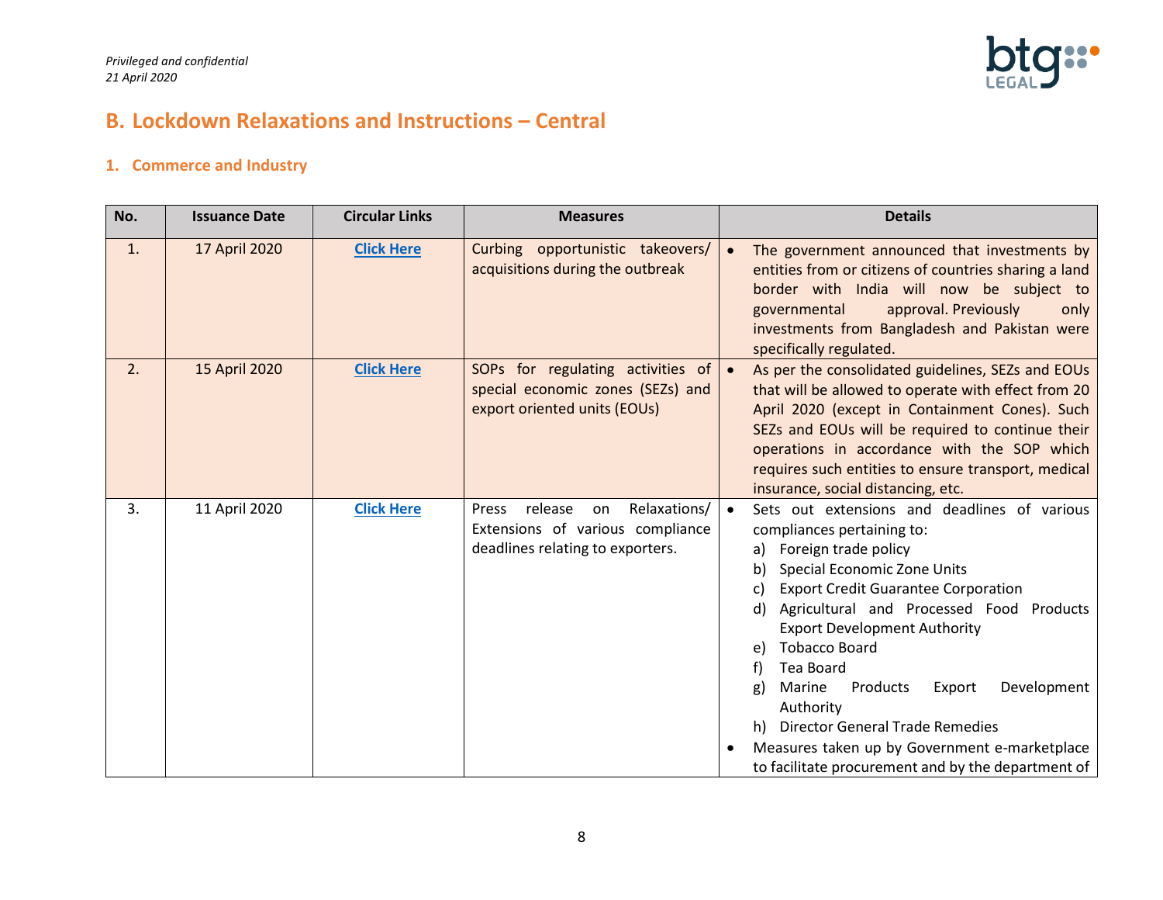

# <span id="page-7-0"></span>**B. Lockdown Relaxations and Instructions – Central**

#### <span id="page-7-1"></span>**1. Commerce and Industry**

| No. | <b>Issuance Date</b> | <b>Circular Links</b> | <b>Measures</b>                                                                                                | <b>Details</b>                                                                                                                                                                                                                                                                                                                                                                                                                                                                                                                                                       |
|-----|----------------------|-----------------------|----------------------------------------------------------------------------------------------------------------|----------------------------------------------------------------------------------------------------------------------------------------------------------------------------------------------------------------------------------------------------------------------------------------------------------------------------------------------------------------------------------------------------------------------------------------------------------------------------------------------------------------------------------------------------------------------|
| 1.  | 17 April 2020        | <b>Click Here</b>     | Curbing opportunistic takeovers/<br>acquisitions during the outbreak                                           | The government announced that investments by<br>$\bullet$<br>entities from or citizens of countries sharing a land<br>border with India will now be subject to<br>approval. Previously<br>governmental<br>only<br>investments from Bangladesh and Pakistan were<br>specifically regulated.                                                                                                                                                                                                                                                                           |
| 2.  | 15 April 2020        | <b>Click Here</b>     | SOPs for regulating activities of<br>special economic zones (SEZs) and<br>export oriented units (EOUs)         | As per the consolidated guidelines, SEZs and EOUs<br>that will be allowed to operate with effect from 20<br>April 2020 (except in Containment Cones). Such<br>SEZs and EOUs will be required to continue their<br>operations in accordance with the SOP which<br>requires such entities to ensure transport, medical<br>insurance, social distancing, etc.                                                                                                                                                                                                           |
| 3.  | 11 April 2020        | <b>Click Here</b>     | Relaxations/<br>release<br>Press<br>on<br>Extensions of various compliance<br>deadlines relating to exporters. | Sets out extensions and deadlines of various<br>compliances pertaining to:<br>Foreign trade policy<br>a)<br>Special Economic Zone Units<br>b)<br><b>Export Credit Guarantee Corporation</b><br>C)<br>Agricultural and Processed Food Products<br>d)<br><b>Export Development Authority</b><br><b>Tobacco Board</b><br>e)<br>Tea Board<br>f)<br>Development<br>Marine<br>Products<br>Export<br>g)<br>Authority<br><b>Director General Trade Remedies</b><br>h)<br>Measures taken up by Government e-marketplace<br>to facilitate procurement and by the department of |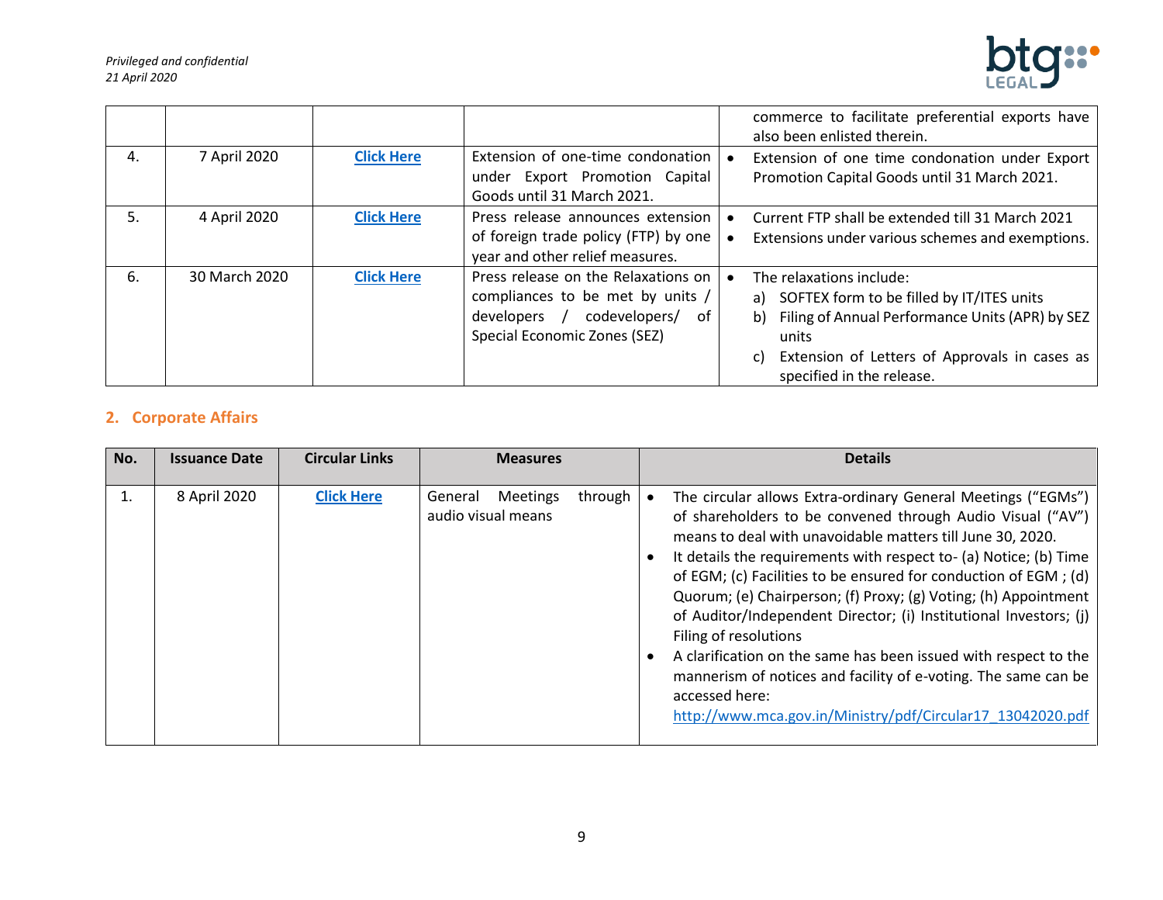

|    |               |                   |                                                                                                                                                | commerce to facilitate preferential exports have<br>also been enlisted therein.                                                                                                                                                   |
|----|---------------|-------------------|------------------------------------------------------------------------------------------------------------------------------------------------|-----------------------------------------------------------------------------------------------------------------------------------------------------------------------------------------------------------------------------------|
| 4. | 7 April 2020  | <b>Click Here</b> | Extension of one-time condonation<br>under Export Promotion Capital<br>Goods until 31 March 2021.                                              | Extension of one time condonation under Export<br>Promotion Capital Goods until 31 March 2021.                                                                                                                                    |
| 5. | 4 April 2020  | <b>Click Here</b> | Press release announces extension<br>of foreign trade policy (FTP) by one<br>year and other relief measures.                                   | Current FTP shall be extended till 31 March 2021<br>Extensions under various schemes and exemptions.                                                                                                                              |
| 6. | 30 March 2020 | <b>Click Here</b> | Press release on the Relaxations on<br>compliances to be met by units /<br>codevelopers/<br>developers /<br>of<br>Special Economic Zones (SEZ) | The relaxations include:<br>SOFTEX form to be filled by IT/ITES units<br>a)<br>Filing of Annual Performance Units (APR) by SEZ<br>b)<br>units<br>Extension of Letters of Approvals in cases as<br>C)<br>specified in the release. |

# <span id="page-8-0"></span>**2. Corporate Affairs**

| No. | <b>Issuance Date</b> | <b>Circular Links</b> | <b>Measures</b>                                             | <b>Details</b>                                                                                                                                                                                                                                                                                                                                                                                                                                                                                                                                                                                                                                                                                                         |
|-----|----------------------|-----------------------|-------------------------------------------------------------|------------------------------------------------------------------------------------------------------------------------------------------------------------------------------------------------------------------------------------------------------------------------------------------------------------------------------------------------------------------------------------------------------------------------------------------------------------------------------------------------------------------------------------------------------------------------------------------------------------------------------------------------------------------------------------------------------------------------|
|     | 8 April 2020         | <b>Click Here</b>     | <b>Meetings</b><br>through<br>General<br>audio visual means | The circular allows Extra-ordinary General Meetings ("EGMs")<br>of shareholders to be convened through Audio Visual ("AV")<br>means to deal with unavoidable matters till June 30, 2020.<br>It details the requirements with respect to- (a) Notice; (b) Time<br>of EGM; (c) Facilities to be ensured for conduction of EGM; (d)<br>Quorum; (e) Chairperson; (f) Proxy; (g) Voting; (h) Appointment<br>of Auditor/Independent Director; (i) Institutional Investors; (j)<br>Filing of resolutions<br>A clarification on the same has been issued with respect to the<br>mannerism of notices and facility of e-voting. The same can be<br>accessed here:<br>http://www.mca.gov.in/Ministry/pdf/Circular17 13042020.pdf |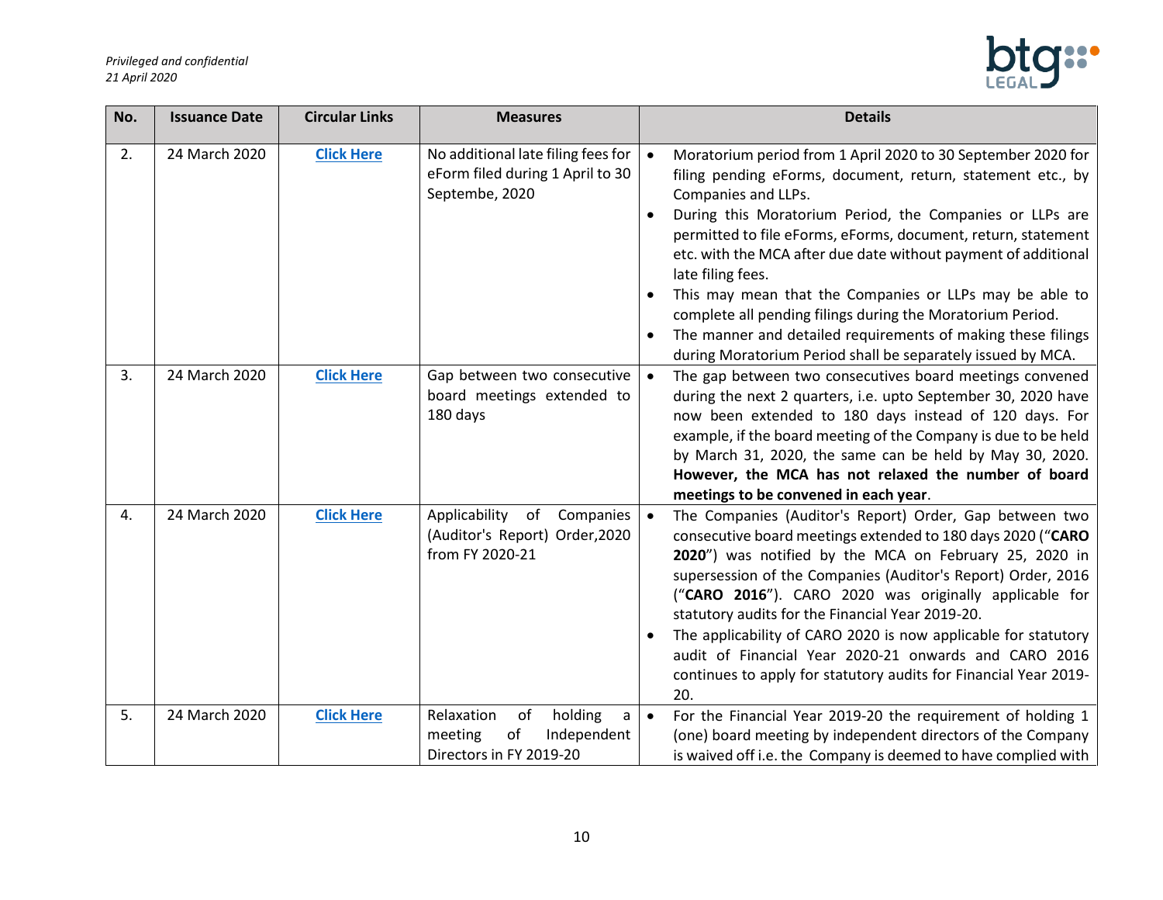

| No. | <b>Issuance Date</b> | <b>Circular Links</b> | <b>Measures</b>                                                                                       | <b>Details</b>                                                                                                                                                                                                                                                                                                                                                                                                                                                                                                                                                                                                                              |
|-----|----------------------|-----------------------|-------------------------------------------------------------------------------------------------------|---------------------------------------------------------------------------------------------------------------------------------------------------------------------------------------------------------------------------------------------------------------------------------------------------------------------------------------------------------------------------------------------------------------------------------------------------------------------------------------------------------------------------------------------------------------------------------------------------------------------------------------------|
| 2.  | 24 March 2020        | <b>Click Here</b>     | No additional late filing fees for<br>eForm filed during 1 April to 30<br>Septembe, 2020              | Moratorium period from 1 April 2020 to 30 September 2020 for<br>$\bullet$<br>filing pending eForms, document, return, statement etc., by<br>Companies and LLPs.<br>During this Moratorium Period, the Companies or LLPs are<br>permitted to file eForms, eForms, document, return, statement<br>etc. with the MCA after due date without payment of additional<br>late filing fees.<br>This may mean that the Companies or LLPs may be able to<br>complete all pending filings during the Moratorium Period.<br>The manner and detailed requirements of making these filings<br>during Moratorium Period shall be separately issued by MCA. |
| 3.  | 24 March 2020        | <b>Click Here</b>     | Gap between two consecutive<br>board meetings extended to<br>180 days                                 | The gap between two consecutives board meetings convened<br>$\bullet$<br>during the next 2 quarters, i.e. upto September 30, 2020 have<br>now been extended to 180 days instead of 120 days. For<br>example, if the board meeting of the Company is due to be held<br>by March 31, 2020, the same can be held by May 30, 2020.<br>However, the MCA has not relaxed the number of board<br>meetings to be convened in each year.                                                                                                                                                                                                             |
| 4.  | 24 March 2020        | <b>Click Here</b>     | Applicability<br>of<br>Companies<br>(Auditor's Report) Order, 2020<br>from FY 2020-21                 | The Companies (Auditor's Report) Order, Gap between two<br>$\bullet$<br>consecutive board meetings extended to 180 days 2020 ("CARO<br>2020") was notified by the MCA on February 25, 2020 in<br>supersession of the Companies (Auditor's Report) Order, 2016<br>("CARO 2016"). CARO 2020 was originally applicable for<br>statutory audits for the Financial Year 2019-20.<br>The applicability of CARO 2020 is now applicable for statutory<br>audit of Financial Year 2020-21 onwards and CARO 2016<br>continues to apply for statutory audits for Financial Year 2019-<br>20.                                                           |
| 5.  | 24 March 2020        | <b>Click Here</b>     | holding<br>Relaxation<br>of<br>$\mathsf a$<br>meeting<br>оf<br>Independent<br>Directors in FY 2019-20 | For the Financial Year 2019-20 the requirement of holding 1<br>$\bullet$<br>(one) board meeting by independent directors of the Company<br>is waived off i.e. the Company is deemed to have complied with                                                                                                                                                                                                                                                                                                                                                                                                                                   |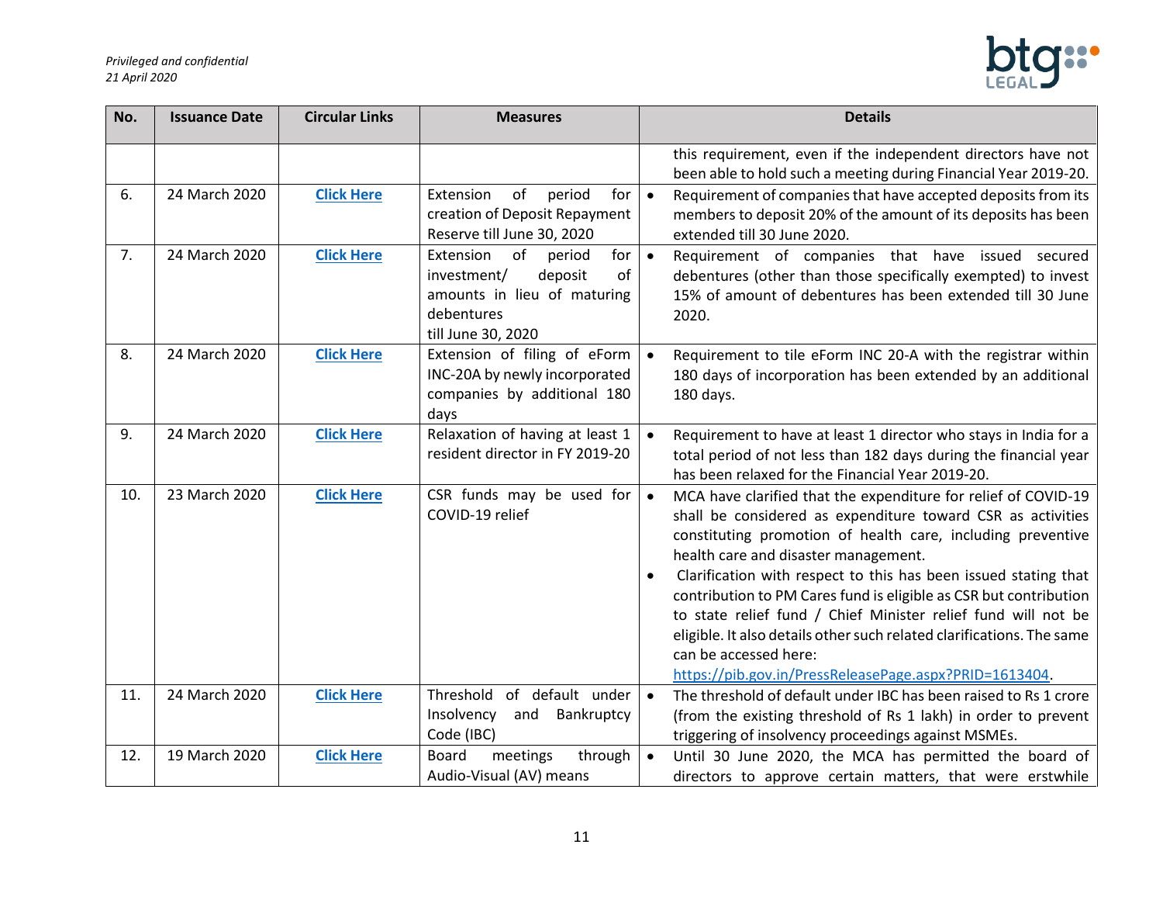

| No. | <b>Issuance Date</b> | <b>Circular Links</b> | <b>Measures</b>                                                                                                                     | <b>Details</b>                                                                                                                                                                                                                                                                                                                                                                                                                                                                                                                                                                                                         |
|-----|----------------------|-----------------------|-------------------------------------------------------------------------------------------------------------------------------------|------------------------------------------------------------------------------------------------------------------------------------------------------------------------------------------------------------------------------------------------------------------------------------------------------------------------------------------------------------------------------------------------------------------------------------------------------------------------------------------------------------------------------------------------------------------------------------------------------------------------|
|     |                      |                       |                                                                                                                                     | this requirement, even if the independent directors have not<br>been able to hold such a meeting during Financial Year 2019-20.                                                                                                                                                                                                                                                                                                                                                                                                                                                                                        |
| 6.  | 24 March 2020        | <b>Click Here</b>     | Extension<br>of<br>for<br>period<br>creation of Deposit Repayment<br>Reserve till June 30, 2020                                     | Requirement of companies that have accepted deposits from its<br>$\bullet$<br>members to deposit 20% of the amount of its deposits has been<br>extended till 30 June 2020.                                                                                                                                                                                                                                                                                                                                                                                                                                             |
| 7.  | 24 March 2020        | <b>Click Here</b>     | Extension<br>of<br>for<br>period<br>investment/<br>deposit<br>of<br>amounts in lieu of maturing<br>debentures<br>till June 30, 2020 | Requirement of companies that have issued secured<br>$\bullet$<br>debentures (other than those specifically exempted) to invest<br>15% of amount of debentures has been extended till 30 June<br>2020.                                                                                                                                                                                                                                                                                                                                                                                                                 |
| 8.  | 24 March 2020        | <b>Click Here</b>     | Extension of filing of eForm<br>INC-20A by newly incorporated<br>companies by additional 180<br>days                                | Requirement to tile eForm INC 20-A with the registrar within<br>180 days of incorporation has been extended by an additional<br>180 days.                                                                                                                                                                                                                                                                                                                                                                                                                                                                              |
| 9.  | 24 March 2020        | <b>Click Here</b>     | Relaxation of having at least 1<br>resident director in FY 2019-20                                                                  | Requirement to have at least 1 director who stays in India for a<br>total period of not less than 182 days during the financial year<br>has been relaxed for the Financial Year 2019-20.                                                                                                                                                                                                                                                                                                                                                                                                                               |
| 10. | 23 March 2020        | <b>Click Here</b>     | CSR funds may be used for<br>COVID-19 relief                                                                                        | MCA have clarified that the expenditure for relief of COVID-19<br>$\bullet$<br>shall be considered as expenditure toward CSR as activities<br>constituting promotion of health care, including preventive<br>health care and disaster management.<br>Clarification with respect to this has been issued stating that<br>contribution to PM Cares fund is eligible as CSR but contribution<br>to state relief fund / Chief Minister relief fund will not be<br>eligible. It also details other such related clarifications. The same<br>can be accessed here:<br>https://pib.gov.in/PressReleasePage.aspx?PRID=1613404. |
| 11. | 24 March 2020        | <b>Click Here</b>     | Threshold<br>of default under<br>Insolvency<br>and Bankruptcy<br>Code (IBC)                                                         | The threshold of default under IBC has been raised to Rs 1 crore<br>$\bullet$<br>(from the existing threshold of Rs 1 lakh) in order to prevent<br>triggering of insolvency proceedings against MSMEs.                                                                                                                                                                                                                                                                                                                                                                                                                 |
| 12. | 19 March 2020        | <b>Click Here</b>     | <b>Board</b><br>meetings<br>through<br>Audio-Visual (AV) means                                                                      | Until 30 June 2020, the MCA has permitted the board of<br>$\bullet$<br>directors to approve certain matters, that were erstwhile                                                                                                                                                                                                                                                                                                                                                                                                                                                                                       |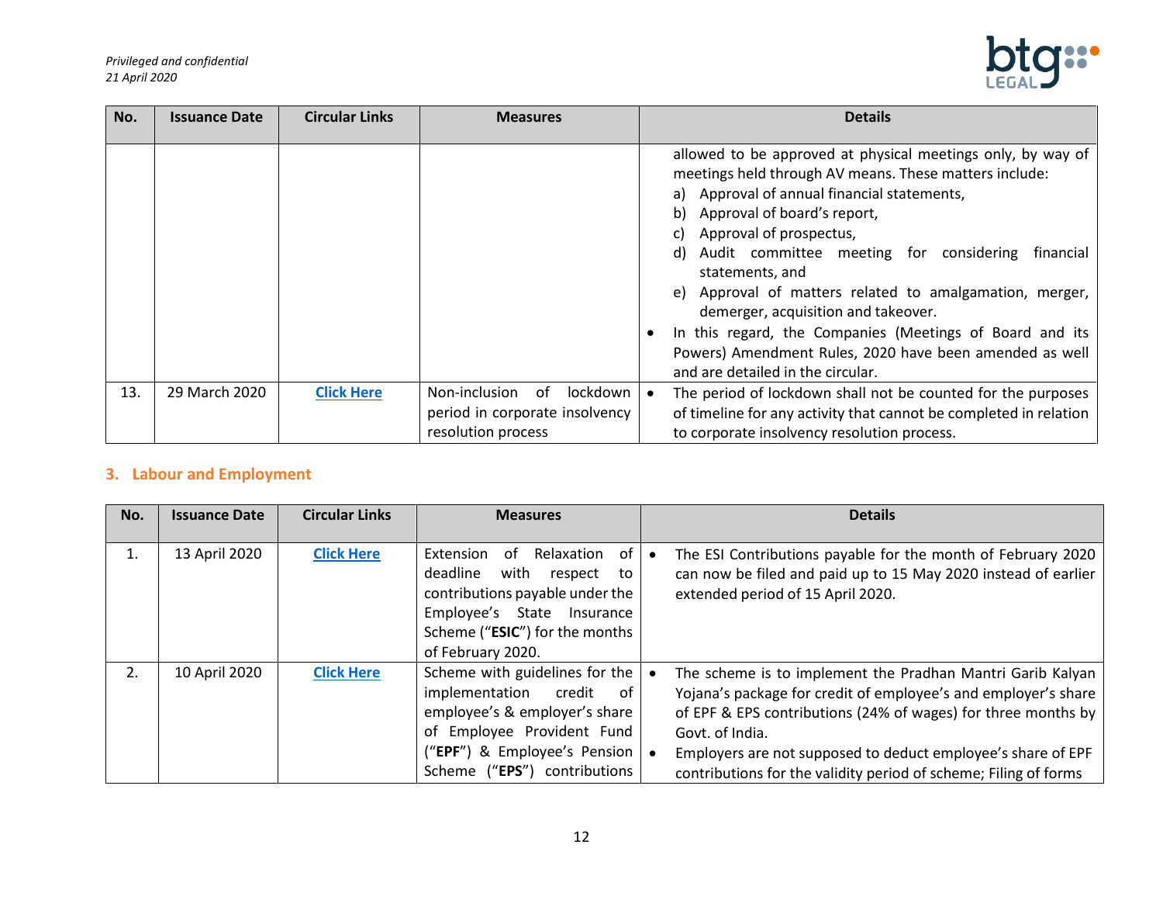

| No. | <b>Issuance Date</b> | <b>Circular Links</b> | <b>Measures</b>                                                                         | <b>Details</b>                                                                                                                                                                                                                                                                                                                                                                                                                                                                                                                                                                               |
|-----|----------------------|-----------------------|-----------------------------------------------------------------------------------------|----------------------------------------------------------------------------------------------------------------------------------------------------------------------------------------------------------------------------------------------------------------------------------------------------------------------------------------------------------------------------------------------------------------------------------------------------------------------------------------------------------------------------------------------------------------------------------------------|
|     |                      |                       |                                                                                         | allowed to be approved at physical meetings only, by way of<br>meetings held through AV means. These matters include:<br>a) Approval of annual financial statements,<br>Approval of board's report,<br>b)<br>Approval of prospectus,<br>C)<br>Audit committee meeting for considering<br>financial<br>d)<br>statements, and<br>Approval of matters related to amalgamation, merger,<br>e)<br>demerger, acquisition and takeover.<br>In this regard, the Companies (Meetings of Board and its<br>Powers) Amendment Rules, 2020 have been amended as well<br>and are detailed in the circular. |
| 13. | 29 March 2020        | <b>Click Here</b>     | lockdown<br>Non-inclusion<br>of<br>period in corporate insolvency<br>resolution process | The period of lockdown shall not be counted for the purposes<br>of timeline for any activity that cannot be completed in relation<br>to corporate insolvency resolution process.                                                                                                                                                                                                                                                                                                                                                                                                             |

# <span id="page-11-0"></span>**3. Labour and Employment**

| No. | <b>Issuance Date</b> | <b>Circular Links</b> | <b>Measures</b>                                                                                                                                                                            | <b>Details</b>                                                                                                                                                                                                                                                                                                                                           |
|-----|----------------------|-----------------------|--------------------------------------------------------------------------------------------------------------------------------------------------------------------------------------------|----------------------------------------------------------------------------------------------------------------------------------------------------------------------------------------------------------------------------------------------------------------------------------------------------------------------------------------------------------|
| 1.  | 13 April 2020        | <b>Click Here</b>     | Relaxation of<br>Extension<br>0f<br>deadline<br>with<br>respect to<br>contributions payable under the<br>Employee's State Insurance<br>Scheme ("ESIC") for the months<br>of February 2020. | The ESI Contributions payable for the month of February 2020<br>can now be filed and paid up to 15 May 2020 instead of earlier<br>extended period of 15 April 2020.                                                                                                                                                                                      |
|     | 10 April 2020        | <b>Click Here</b>     | Scheme with guidelines for the<br>implementation credit of<br>employee's & employer's share<br>of Employee Provident Fund<br>("EPF") & Employee's Pension<br>Scheme ("EPS") contributions  | The scheme is to implement the Pradhan Mantri Garib Kalyan<br>Yojana's package for credit of employee's and employer's share<br>of EPF & EPS contributions (24% of wages) for three months by $ $<br>Govt. of India.<br>Employers are not supposed to deduct employee's share of EPF<br>contributions for the validity period of scheme; Filing of forms |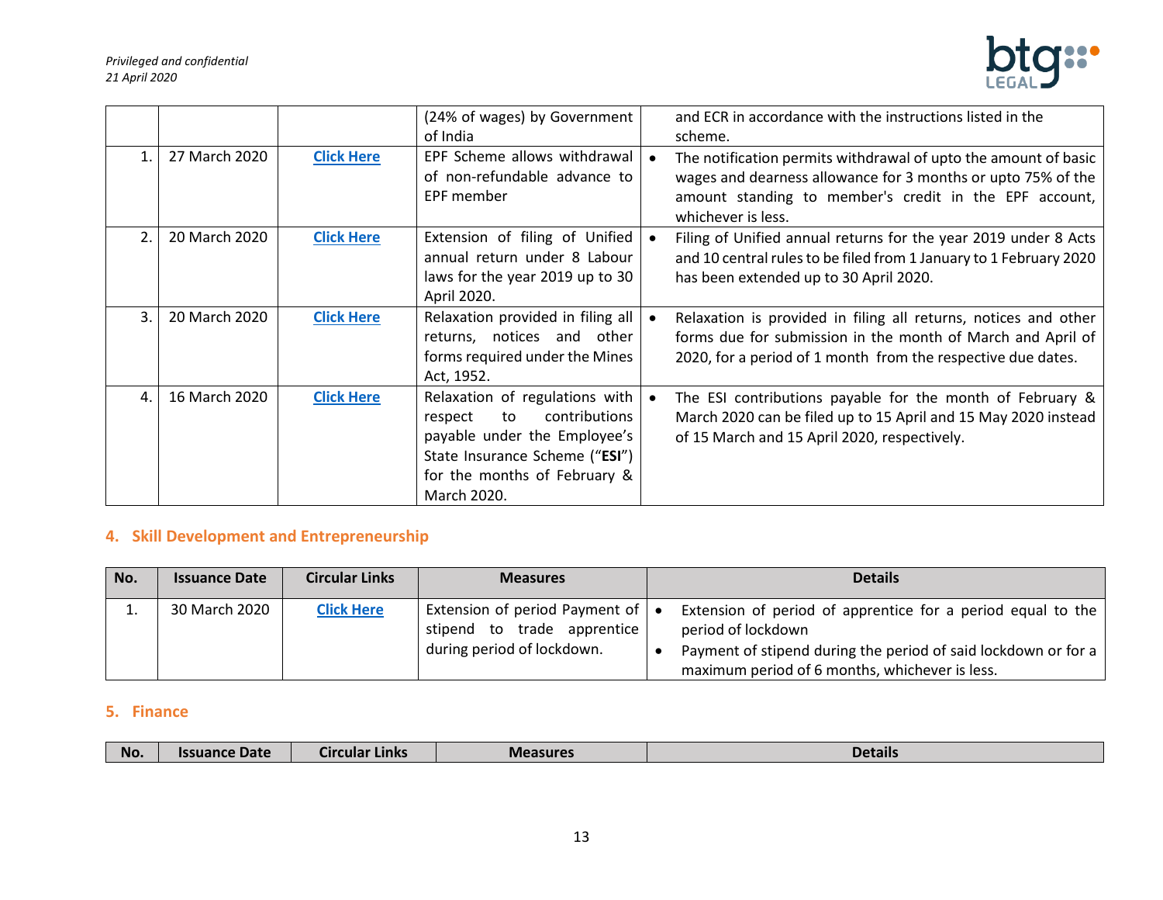

|                |               |                   | (24% of wages) by Government<br>of India                                                                                                                                          | and ECR in accordance with the instructions listed in the<br>scheme.                                                                                                                                            |
|----------------|---------------|-------------------|-----------------------------------------------------------------------------------------------------------------------------------------------------------------------------------|-----------------------------------------------------------------------------------------------------------------------------------------------------------------------------------------------------------------|
| $\mathbf{1}$ . | 27 March 2020 | <b>Click Here</b> | EPF Scheme allows withdrawal<br>of non-refundable advance to<br>EPF member                                                                                                        | The notification permits withdrawal of upto the amount of basic<br>wages and dearness allowance for 3 months or upto 75% of the<br>amount standing to member's credit in the EPF account,<br>whichever is less. |
| 2 <sub>1</sub> | 20 March 2020 | <b>Click Here</b> | Extension of filing of Unified<br>annual return under 8 Labour<br>laws for the year 2019 up to 30<br>April 2020.                                                                  | Filing of Unified annual returns for the year 2019 under 8 Acts<br>and 10 central rules to be filed from 1 January to 1 February 2020<br>has been extended up to 30 April 2020.                                 |
| 3.             | 20 March 2020 | <b>Click Here</b> | Relaxation provided in filing all<br>returns, notices and<br>other<br>forms required under the Mines<br>Act, 1952.                                                                | Relaxation is provided in filing all returns, notices and other<br>forms due for submission in the month of March and April of<br>2020, for a period of 1 month from the respective due dates.                  |
| 4.             | 16 March 2020 | <b>Click Here</b> | Relaxation of regulations with<br>contributions<br>to<br>respect<br>payable under the Employee's<br>State Insurance Scheme ("ESI")<br>for the months of February &<br>March 2020. | The ESI contributions payable for the month of February &<br>March 2020 can be filed up to 15 April and 15 May 2020 instead<br>of 15 March and 15 April 2020, respectively.                                     |

## <span id="page-12-0"></span>**4. Skill Development and Entrepreneurship**

| No. | <b>Issuance Date</b> | <b>Circular Links</b> | <b>Measures</b>                                                                                       | <b>Details</b>                                                                                                                                                                                        |
|-----|----------------------|-----------------------|-------------------------------------------------------------------------------------------------------|-------------------------------------------------------------------------------------------------------------------------------------------------------------------------------------------------------|
|     | 30 March 2020        | <b>Click Here</b>     | Extension of period Payment of $\bullet$<br>stipend to trade apprentice<br>during period of lockdown. | Extension of period of apprentice for a period equal to the<br>period of lockdown<br>Payment of stipend during the period of said lockdown or for a<br>maximum period of 6 months, whichever is less. |

#### <span id="page-12-1"></span>**5. Finance**

| No. | <b>Date</b><br>issuance | Links<br>Lircular | <b>Measures</b> | <b>Details</b> |
|-----|-------------------------|-------------------|-----------------|----------------|
|-----|-------------------------|-------------------|-----------------|----------------|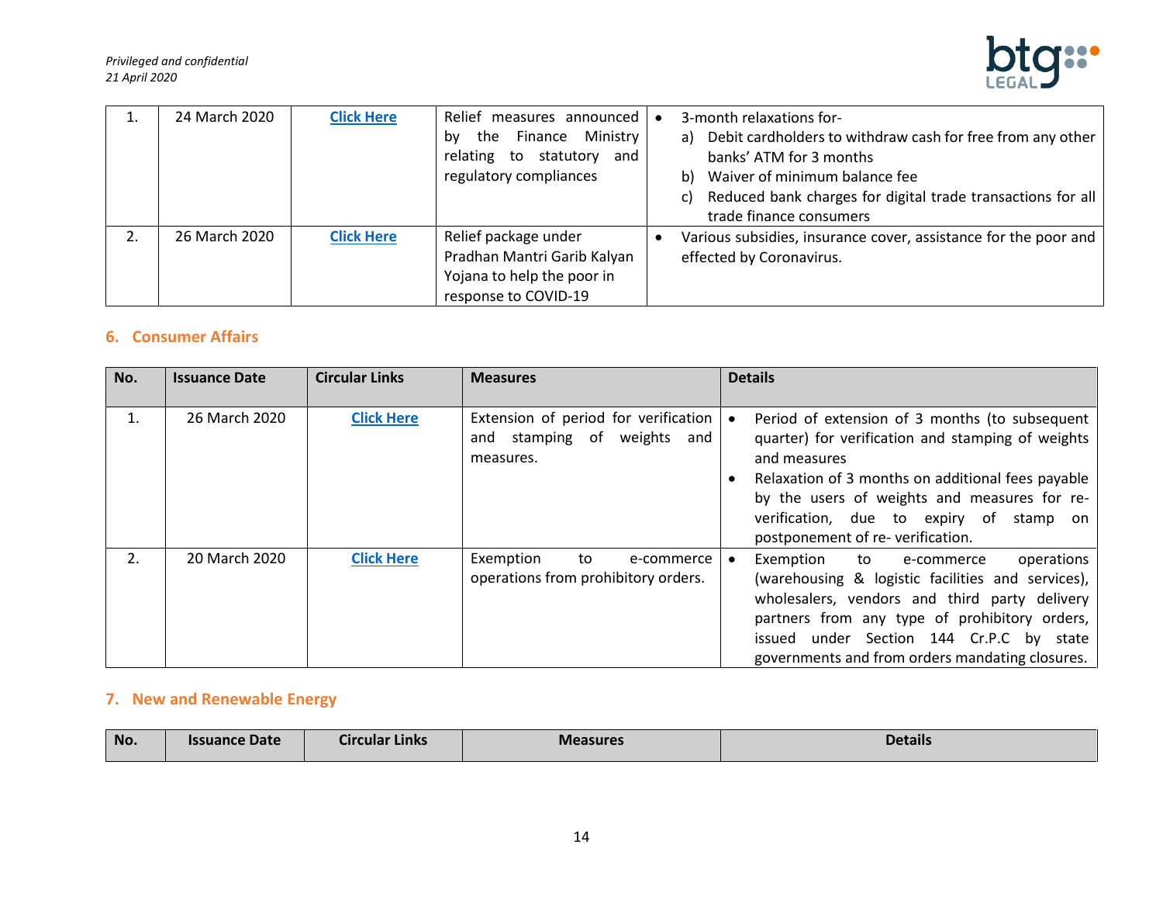

| 24 March 2020 | <b>Click Here</b> | Relief measures announced                                  | $\bullet$ | 3-month relaxations for-                                                                 |
|---------------|-------------------|------------------------------------------------------------|-----------|------------------------------------------------------------------------------------------|
|               |                   | Finance Ministry<br>the<br>bv<br>relating to statutory and |           | a) Debit cardholders to withdraw cash for free from any other<br>banks' ATM for 3 months |
|               |                   |                                                            |           |                                                                                          |
|               |                   | regulatory compliances                                     |           | b) Waiver of minimum balance fee                                                         |
|               |                   |                                                            |           | c) Reduced bank charges for digital trade transactions for all                           |
|               |                   |                                                            |           | trade finance consumers                                                                  |
| 26 March 2020 | <b>Click Here</b> | Relief package under                                       |           | Various subsidies, insurance cover, assistance for the poor and                          |
|               |                   | Pradhan Mantri Garib Kalyan                                |           | effected by Coronavirus.                                                                 |
|               |                   | Yojana to help the poor in                                 |           |                                                                                          |
|               |                   | response to COVID-19                                       |           |                                                                                          |

#### <span id="page-13-0"></span>**6. Consumer Affairs**

| No. | <b>Issuance Date</b> | <b>Circular Links</b> | <b>Measures</b>                                                                        | <b>Details</b>                                                                                                                                                                                                                                                                                             |
|-----|----------------------|-----------------------|----------------------------------------------------------------------------------------|------------------------------------------------------------------------------------------------------------------------------------------------------------------------------------------------------------------------------------------------------------------------------------------------------------|
|     |                      |                       |                                                                                        |                                                                                                                                                                                                                                                                                                            |
|     | 26 March 2020        | <b>Click Here</b>     | Extension of period for verification<br>stamping of weights<br>and<br>and<br>measures. | Period of extension of 3 months (to subsequent<br>quarter) for verification and stamping of weights<br>and measures<br>Relaxation of 3 months on additional fees payable<br>by the users of weights and measures for re-<br>verification, due to expiry of<br>stamp on<br>postponement of re-verification. |
| 2.  | 20 March 2020        | <b>Click Here</b>     | Exemption<br>to<br>e-commerce<br>operations from prohibitory orders.                   | operations<br>Exemption<br>to<br>e-commerce<br>(warehousing & logistic facilities and services),<br>wholesalers, vendors and third party delivery<br>partners from any type of prohibitory orders,<br>issued under Section 144 Cr.P.C by state<br>governments and from orders mandating closures.          |

# <span id="page-13-1"></span>**7. New and Renewable Energy**

| No. | <b>Issuance Date</b> | Circular Links | <b>Measures</b> | Details |
|-----|----------------------|----------------|-----------------|---------|
|     |                      |                |                 |         |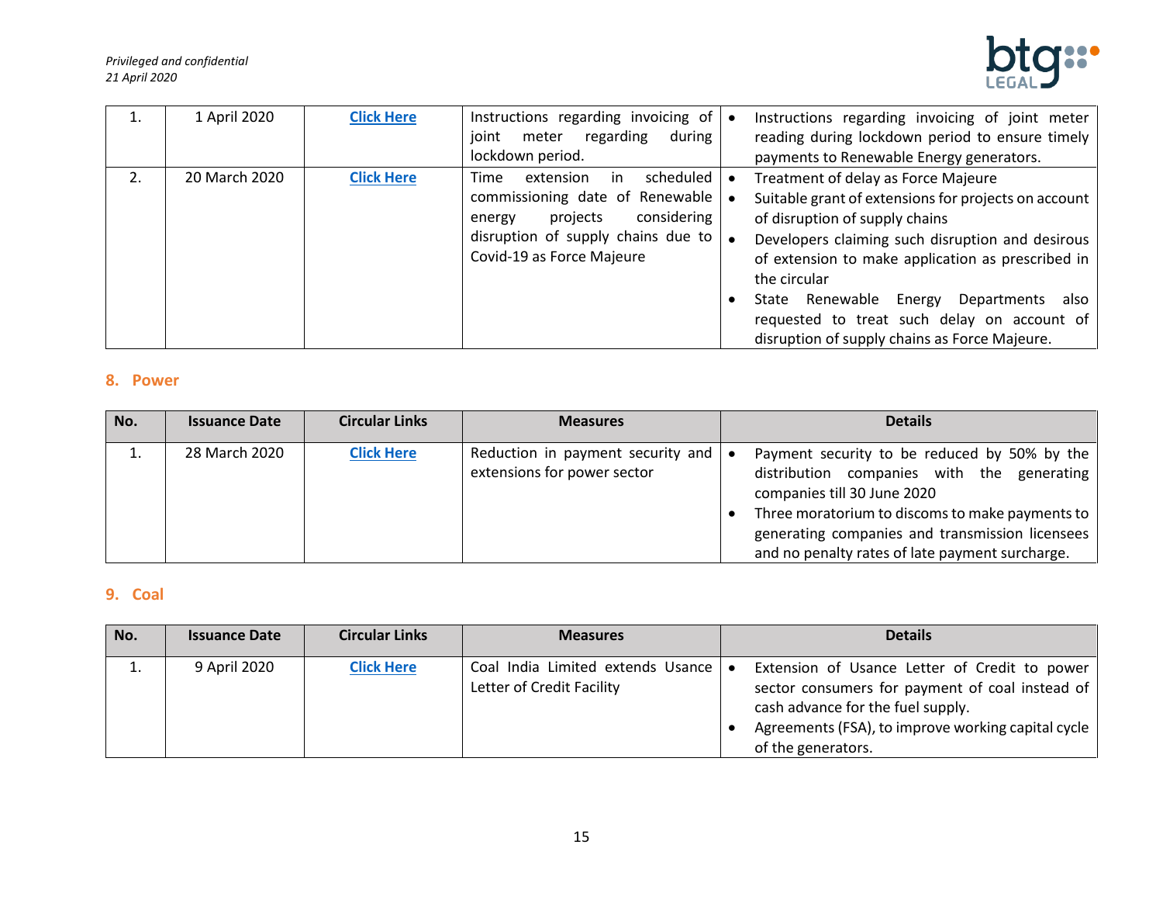

| 1 April 2020  | <b>Click Here</b> | Instructions regarding invoicing of<br>regarding<br>during<br>joint<br>meter<br>lockdown period.                                                                                | $\bullet$ | Instructions regarding invoicing of joint meter<br>reading during lockdown period to ensure timely<br>payments to Renewable Energy generators.                                                                                                                                                                                                                                                                |
|---------------|-------------------|---------------------------------------------------------------------------------------------------------------------------------------------------------------------------------|-----------|---------------------------------------------------------------------------------------------------------------------------------------------------------------------------------------------------------------------------------------------------------------------------------------------------------------------------------------------------------------------------------------------------------------|
| 20 March 2020 | <b>Click Here</b> | scheduled<br>extension<br>Time<br>ın<br>commissioning date of Renewable<br>considering<br>projects<br>energy<br>disruption of supply chains due to<br>Covid-19 as Force Majeure |           | Treatment of delay as Force Majeure<br>Suitable grant of extensions for projects on account<br>of disruption of supply chains<br>Developers claiming such disruption and desirous<br>of extension to make application as prescribed in<br>the circular<br>Departments<br>Renewable<br>also<br>State<br>Energy<br>requested to treat such delay on account of<br>disruption of supply chains as Force Majeure. |

#### <span id="page-14-0"></span>**8. Power**

| No. | <b>Issuance Date</b> | <b>Circular Links</b> | <b>Measures</b>                                                  | <b>Details</b>                                                                                                                                                                                                                                                                     |
|-----|----------------------|-----------------------|------------------------------------------------------------------|------------------------------------------------------------------------------------------------------------------------------------------------------------------------------------------------------------------------------------------------------------------------------------|
| ⊥.  | 28 March 2020        | <b>Click Here</b>     | Reduction in payment security and<br>extensions for power sector | Payment security to be reduced by 50% by the<br>distribution companies with the generating<br>companies till 30 June 2020<br>Three moratorium to discoms to make payments to<br>generating companies and transmission licensees<br>and no penalty rates of late payment surcharge. |

## <span id="page-14-1"></span>**9. Coal**

| No. | <b>Issuance Date</b> | <b>Circular Links</b> | <b>Measures</b>                                                | <b>Details</b>                                                                                                                                                                                                    |
|-----|----------------------|-----------------------|----------------------------------------------------------------|-------------------------------------------------------------------------------------------------------------------------------------------------------------------------------------------------------------------|
| ⊥.  | 9 April 2020         | <b>Click Here</b>     | Coal India Limited extends Usance<br>Letter of Credit Facility | Extension of Usance Letter of Credit to power<br>sector consumers for payment of coal instead of<br>cash advance for the fuel supply.<br>Agreements (FSA), to improve working capital cycle<br>of the generators. |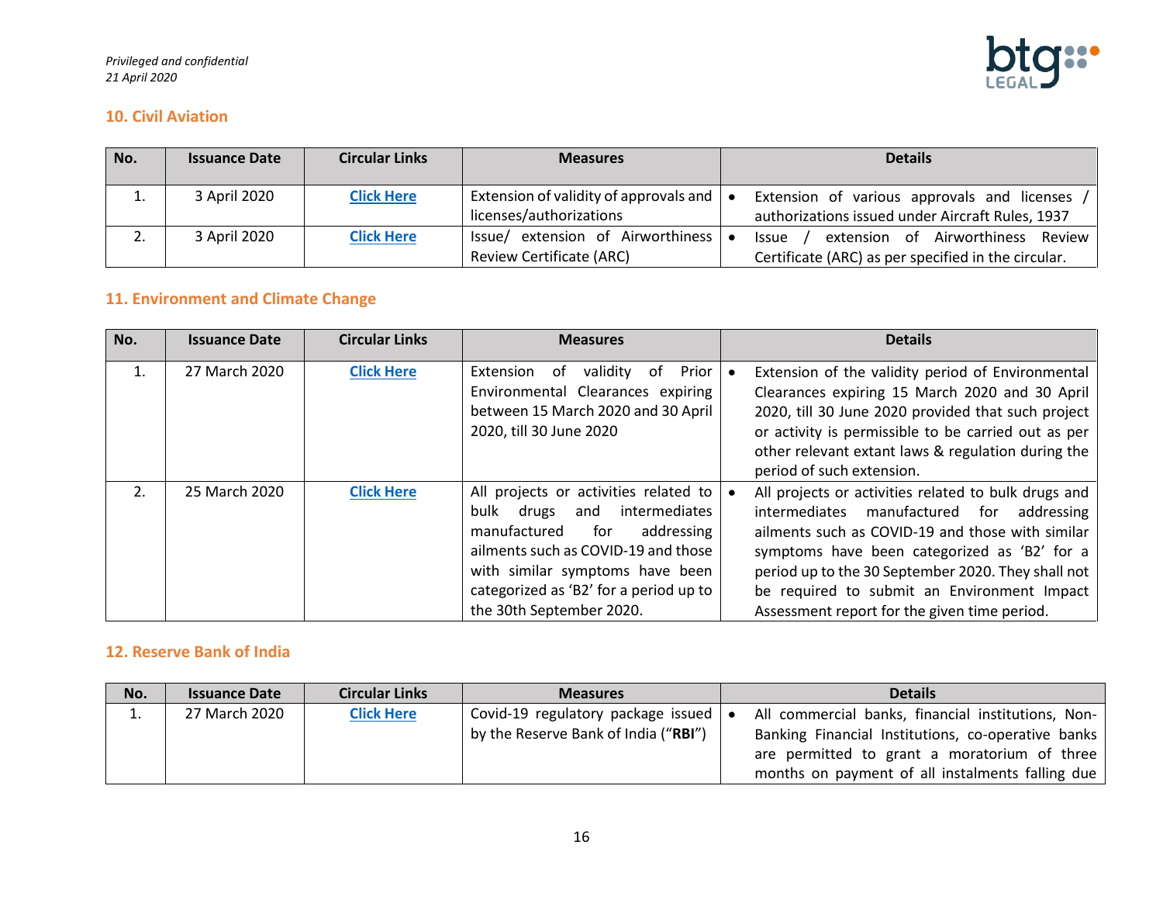

#### <span id="page-15-0"></span>**10. Civil Aviation**

| No. | <b>Issuance Date</b> | <b>Circular Links</b> | <b>Measures</b>                                                      | <b>Details</b>                                                                                    |
|-----|----------------------|-----------------------|----------------------------------------------------------------------|---------------------------------------------------------------------------------------------------|
|     | 3 April 2020         | <b>Click Here</b>     | Extension of validity of approvals and<br>licenses/authorizations    | Extension of various approvals and licenses<br>authorizations issued under Aircraft Rules, 1937   |
|     | 3 April 2020         | <b>Click Here</b>     | Issue/ extension of Airworthiness<br><b>Review Certificate (ARC)</b> | extension of Airworthiness Review<br>Issue<br>Certificate (ARC) as per specified in the circular. |

# <span id="page-15-1"></span>**11. Environment and Climate Change**

| No. | <b>Issuance Date</b> | <b>Circular Links</b> | <b>Measures</b>                                                                                                                                                                                                                                                  | <b>Details</b>                                                                                                                                                                                                                                                                                                                                             |
|-----|----------------------|-----------------------|------------------------------------------------------------------------------------------------------------------------------------------------------------------------------------------------------------------------------------------------------------------|------------------------------------------------------------------------------------------------------------------------------------------------------------------------------------------------------------------------------------------------------------------------------------------------------------------------------------------------------------|
| 1.  | 27 March 2020        | <b>Click Here</b>     | Prior<br>Extension<br>validity<br>. of<br>. of<br>Environmental Clearances expiring<br>between 15 March 2020 and 30 April<br>2020, till 30 June 2020                                                                                                             | Extension of the validity period of Environmental<br>Clearances expiring 15 March 2020 and 30 April<br>2020, till 30 June 2020 provided that such project<br>or activity is permissible to be carried out as per<br>other relevant extant laws & regulation during the<br>period of such extension.                                                        |
| 2.  | 25 March 2020        | <b>Click Here</b>     | All projects or activities related to<br>intermediates<br>bulk drugs<br>and<br>manufactured<br>addressing<br>for<br>ailments such as COVID-19 and those<br>with similar symptoms have been<br>categorized as 'B2' for a period up to<br>the 30th September 2020. | All projects or activities related to bulk drugs and<br>intermediates manufactured for addressing<br>ailments such as COVID-19 and those with similar<br>symptoms have been categorized as 'B2' for a<br>period up to the 30 September 2020. They shall not<br>be required to submit an Environment Impact<br>Assessment report for the given time period. |

#### <span id="page-15-2"></span>**12. Reserve Bank of India**

| No. | <b>Issuance Date</b> | <b>Circular Links</b> | <b>Measures</b>                                                                      | <b>Details</b>                                                                                                                                                                                               |
|-----|----------------------|-----------------------|--------------------------------------------------------------------------------------|--------------------------------------------------------------------------------------------------------------------------------------------------------------------------------------------------------------|
| ∸.  | 27 March 2020        | <b>Click Here</b>     | Covid-19 regulatory package issued $\bullet$<br>by the Reserve Bank of India ("RBI") | All commercial banks, financial institutions, Non-<br>Banking Financial Institutions, co-operative banks<br>are permitted to grant a moratorium of three<br>months on payment of all instalments falling due |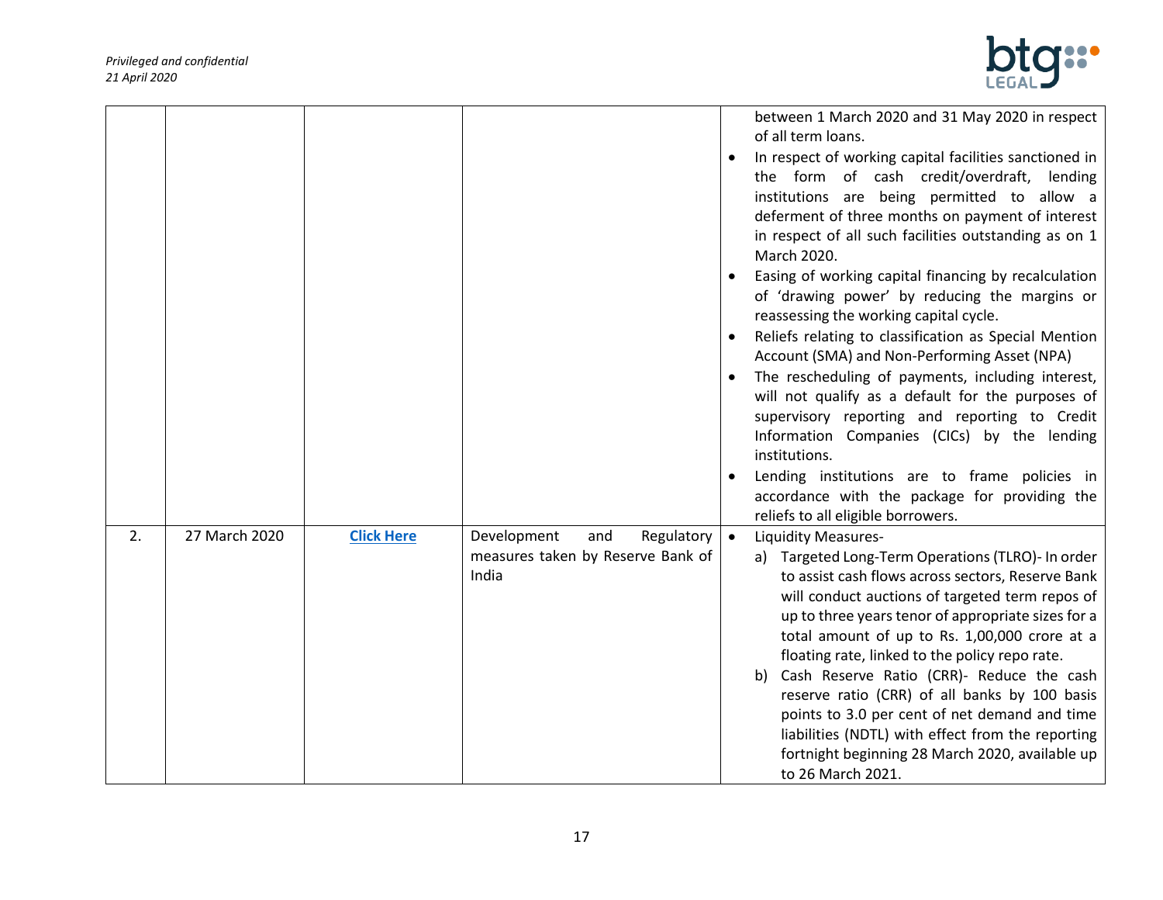

|    |               |                   |                                                                                                      | between 1 March 2020 and 31 May 2020 in respect<br>of all term loans.<br>In respect of working capital facilities sanctioned in<br>$\bullet$<br>the form of cash credit/overdraft, lending<br>institutions are being permitted to allow a<br>deferment of three months on payment of interest<br>in respect of all such facilities outstanding as on 1<br>March 2020.<br>Easing of working capital financing by recalculation<br>of 'drawing power' by reducing the margins or<br>reassessing the working capital cycle.<br>Reliefs relating to classification as Special Mention<br>Account (SMA) and Non-Performing Asset (NPA)<br>The rescheduling of payments, including interest,<br>will not qualify as a default for the purposes of<br>supervisory reporting and reporting to Credit<br>Information Companies (CICs) by the lending<br>institutions.<br>Lending institutions are to frame policies in<br>$\bullet$<br>accordance with the package for providing the |
|----|---------------|-------------------|------------------------------------------------------------------------------------------------------|-----------------------------------------------------------------------------------------------------------------------------------------------------------------------------------------------------------------------------------------------------------------------------------------------------------------------------------------------------------------------------------------------------------------------------------------------------------------------------------------------------------------------------------------------------------------------------------------------------------------------------------------------------------------------------------------------------------------------------------------------------------------------------------------------------------------------------------------------------------------------------------------------------------------------------------------------------------------------------|
| 2. | 27 March 2020 | <b>Click Here</b> | Development<br>Regulatory $\vert \bullet \vert$<br>and<br>measures taken by Reserve Bank of<br>India | reliefs to all eligible borrowers.<br><b>Liquidity Measures-</b><br>a) Targeted Long-Term Operations (TLRO)- In order<br>to assist cash flows across sectors, Reserve Bank<br>will conduct auctions of targeted term repos of<br>up to three years tenor of appropriate sizes for a<br>total amount of up to Rs. 1,00,000 crore at a<br>floating rate, linked to the policy repo rate.<br>Cash Reserve Ratio (CRR)- Reduce the cash<br>b)<br>reserve ratio (CRR) of all banks by 100 basis<br>points to 3.0 per cent of net demand and time<br>liabilities (NDTL) with effect from the reporting<br>fortnight beginning 28 March 2020, available up<br>to 26 March 2021.                                                                                                                                                                                                                                                                                                    |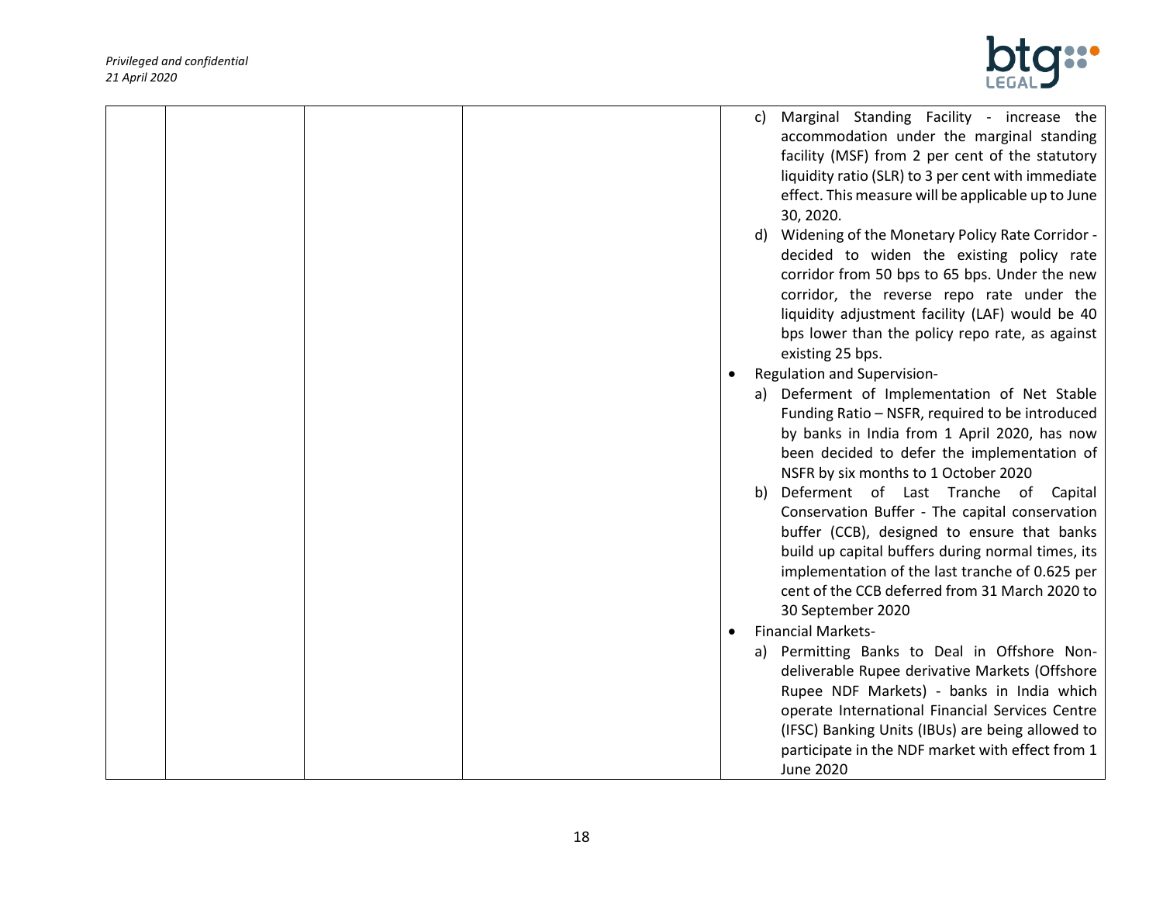

|  |  |           | Marginal Standing Facility - increase the<br>C)       |
|--|--|-----------|-------------------------------------------------------|
|  |  |           | accommodation under the marginal standing             |
|  |  |           | facility (MSF) from 2 per cent of the statutory       |
|  |  |           | liquidity ratio (SLR) to 3 per cent with immediate    |
|  |  |           | effect. This measure will be applicable up to June    |
|  |  |           | 30, 2020.                                             |
|  |  |           | Widening of the Monetary Policy Rate Corridor -<br>d) |
|  |  |           | decided to widen the existing policy rate             |
|  |  |           | corridor from 50 bps to 65 bps. Under the new         |
|  |  |           | corridor, the reverse repo rate under the             |
|  |  |           | liquidity adjustment facility (LAF) would be 40       |
|  |  |           | bps lower than the policy repo rate, as against       |
|  |  |           | existing 25 bps.                                      |
|  |  | $\bullet$ | Regulation and Supervision-                           |
|  |  |           | a) Deferment of Implementation of Net Stable          |
|  |  |           | Funding Ratio - NSFR, required to be introduced       |
|  |  |           | by banks in India from 1 April 2020, has now          |
|  |  |           | been decided to defer the implementation of           |
|  |  |           | NSFR by six months to 1 October 2020                  |
|  |  |           | Deferment of Last Tranche of Capital<br>b)            |
|  |  |           | Conservation Buffer - The capital conservation        |
|  |  |           | buffer (CCB), designed to ensure that banks           |
|  |  |           | build up capital buffers during normal times, its     |
|  |  |           | implementation of the last tranche of 0.625 per       |
|  |  |           | cent of the CCB deferred from 31 March 2020 to        |
|  |  |           | 30 September 2020                                     |
|  |  | $\bullet$ | <b>Financial Markets-</b>                             |
|  |  |           | a) Permitting Banks to Deal in Offshore Non-          |
|  |  |           | deliverable Rupee derivative Markets (Offshore        |
|  |  |           | Rupee NDF Markets) - banks in India which             |
|  |  |           | operate International Financial Services Centre       |
|  |  |           | (IFSC) Banking Units (IBUs) are being allowed to      |
|  |  |           | participate in the NDF market with effect from 1      |
|  |  |           | <b>June 2020</b>                                      |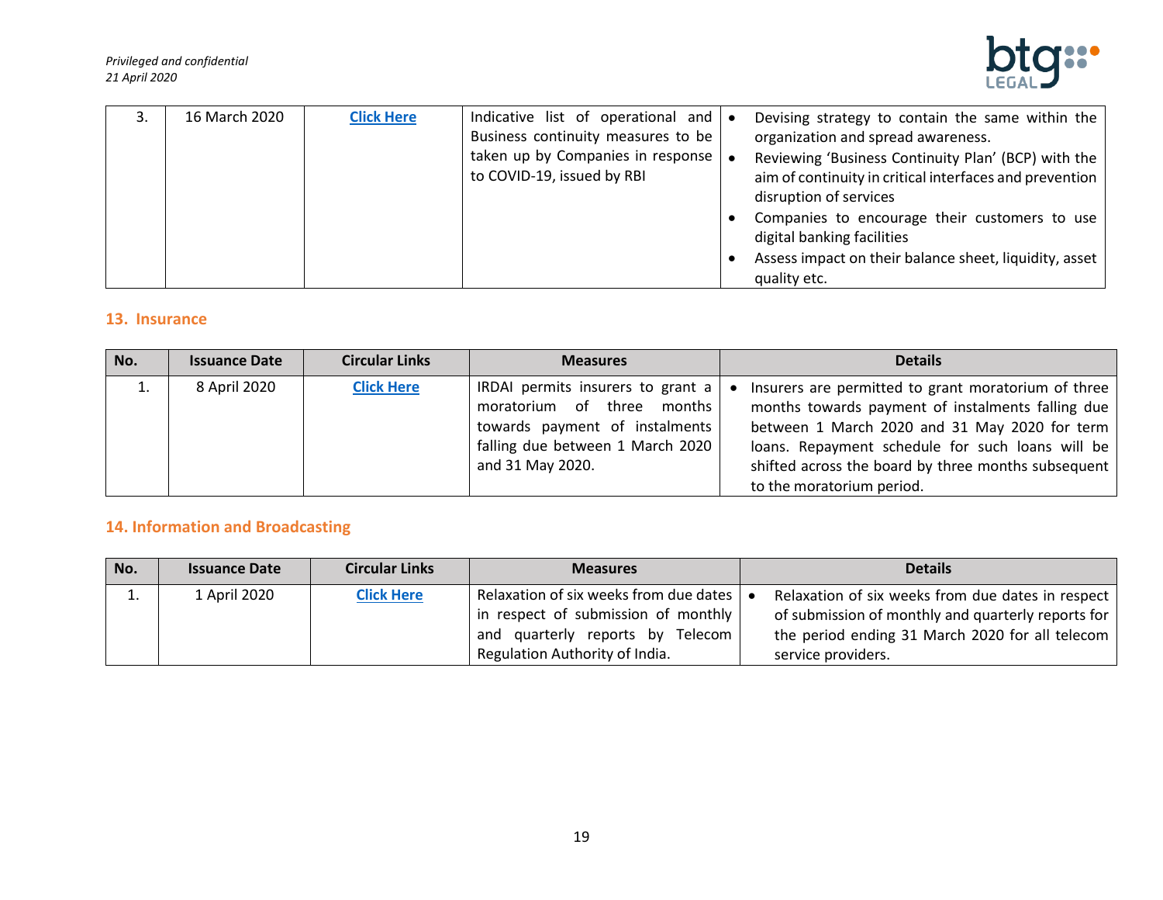

| 16 March 2020 | <b>Click Here</b> | Indicative list of operational and $\bullet$            | Devising strategy to contain the same within the        |
|---------------|-------------------|---------------------------------------------------------|---------------------------------------------------------|
|               |                   | Business continuity measures to be                      | organization and spread awareness.                      |
|               |                   | taken up by Companies in response $\vert \bullet \vert$ | Reviewing 'Business Continuity Plan' (BCP) with the     |
|               |                   | to COVID-19, issued by RBI                              | aim of continuity in critical interfaces and prevention |
|               |                   |                                                         | disruption of services                                  |
|               |                   |                                                         | Companies to encourage their customers to use           |
|               |                   |                                                         | digital banking facilities                              |
|               |                   |                                                         | Assess impact on their balance sheet, liquidity, asset  |
|               |                   |                                                         | quality etc.                                            |

#### <span id="page-18-0"></span>**13. Insurance**

| No. | <b>Issuance Date</b> | <b>Circular Links</b> | <b>Measures</b>                                                                                                                                           | <b>Details</b>                                                                                                                                                                                                                                                                                    |
|-----|----------------------|-----------------------|-----------------------------------------------------------------------------------------------------------------------------------------------------------|---------------------------------------------------------------------------------------------------------------------------------------------------------------------------------------------------------------------------------------------------------------------------------------------------|
|     | 8 April 2020         | <b>Click Here</b>     | IRDAI permits insurers to grant a<br>moratorium of three months<br>towards payment of instalments<br>falling due between 1 March 2020<br>and 31 May 2020. | Insurers are permitted to grant moratorium of three<br>months towards payment of instalments falling due<br>between 1 March 2020 and 31 May 2020 for term<br>loans. Repayment schedule for such loans will be<br>shifted across the board by three months subsequent<br>to the moratorium period. |

# <span id="page-18-1"></span>**14. Information and Broadcasting**

| No. | <b>Issuance Date</b> | <b>Circular Links</b> | <b>Measures</b>                                              | <b>Details</b>                                     |
|-----|----------------------|-----------------------|--------------------------------------------------------------|----------------------------------------------------|
| ⊥.  | 1 April 2020         | <b>Click Here</b>     | Relaxation of six weeks from due dates $\vert \bullet \vert$ | Relaxation of six weeks from due dates in respect  |
|     |                      |                       | in respect of submission of monthly                          | of submission of monthly and quarterly reports for |
|     |                      |                       | and quarterly reports by Telecom                             | the period ending 31 March 2020 for all telecom    |
|     |                      |                       | Regulation Authority of India.                               | service providers.                                 |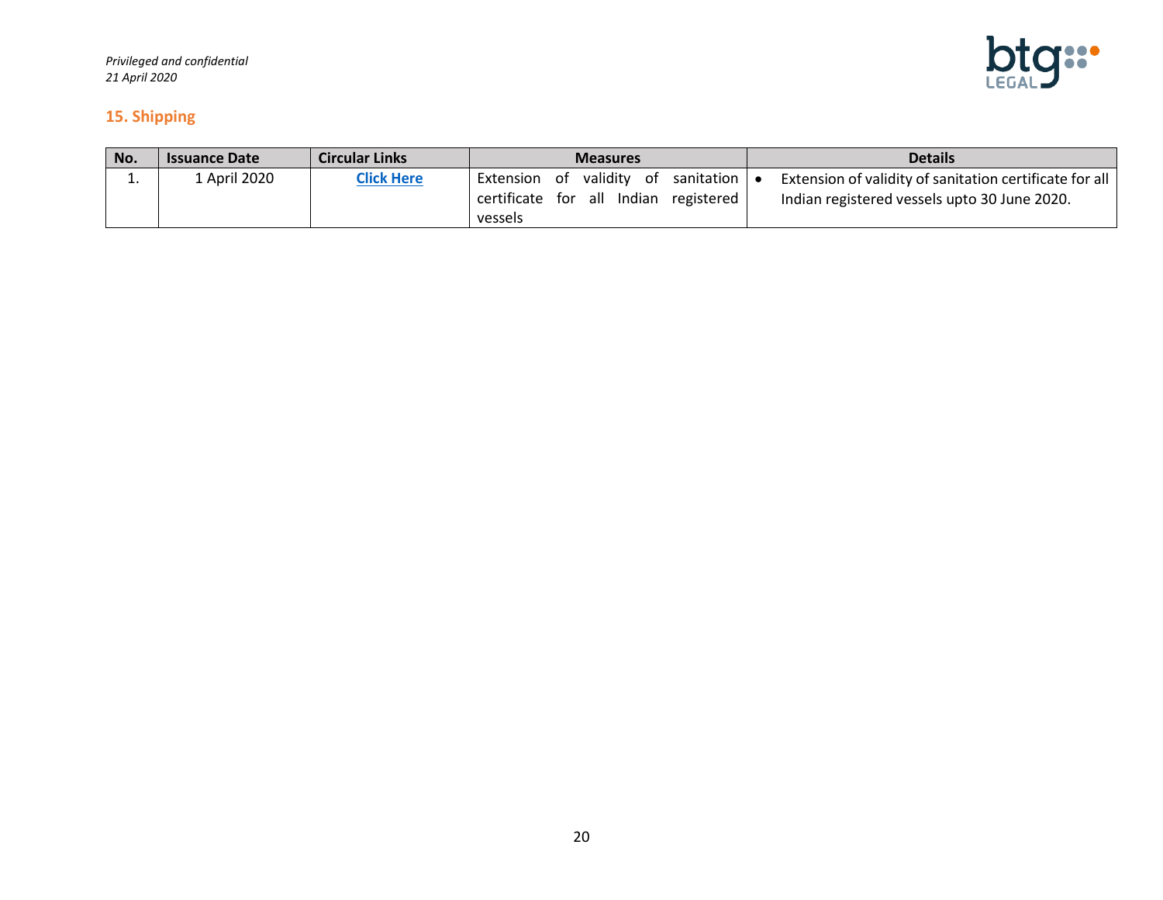

#### <span id="page-19-0"></span>**15. Shipping**

| No. | <b>Issuance Date</b> | <b>Circular Links</b> | <b>Measures</b>                                                                         | <b>Details</b>                                                                                          |
|-----|----------------------|-----------------------|-----------------------------------------------------------------------------------------|---------------------------------------------------------------------------------------------------------|
| ∸.  | ⊥ April 2020         | <b>Click Here</b>     | Extension of validity of sanitation<br>certificate for all Indian registered<br>vessels | Extension of validity of sanitation certificate for all<br>Indian registered vessels upto 30 June 2020. |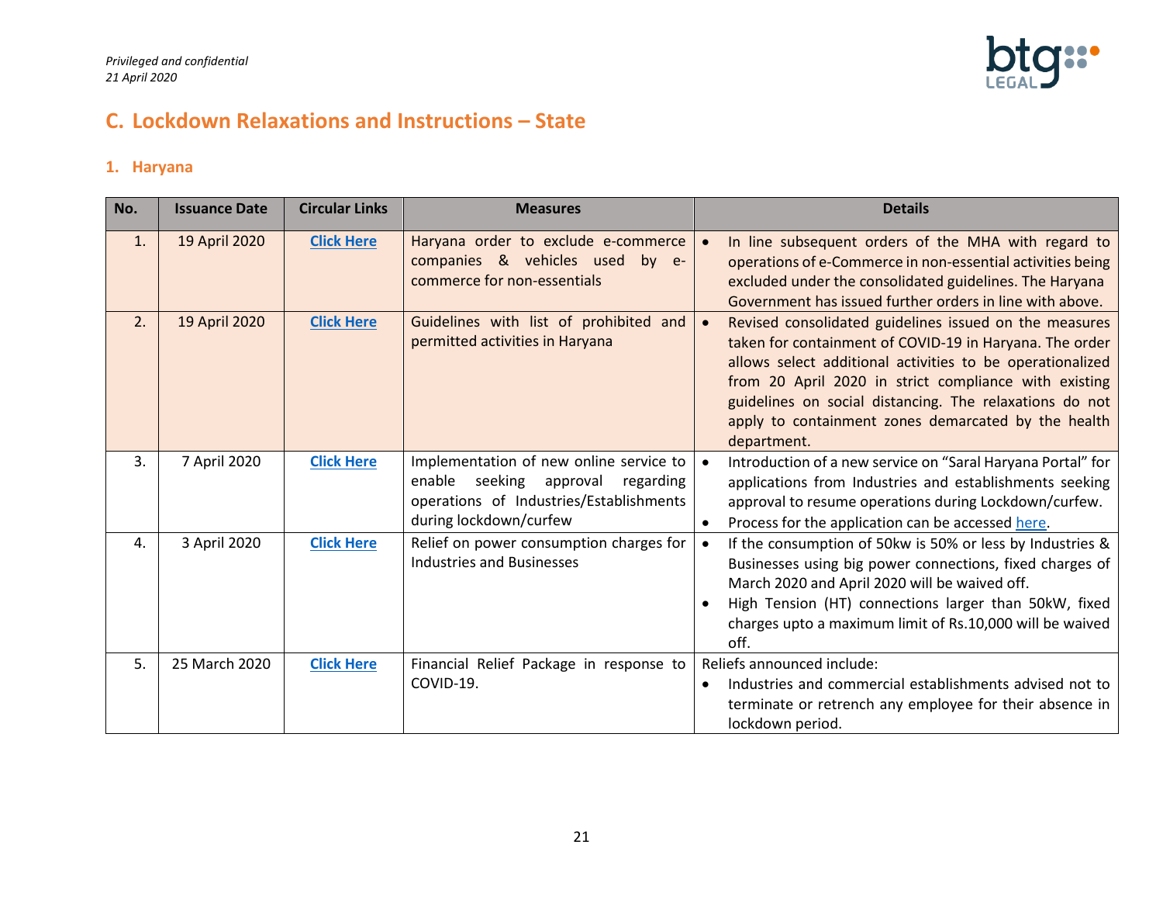

# <span id="page-20-0"></span>**C. Lockdown Relaxations and Instructions – State**

#### <span id="page-20-1"></span>**1. Haryana**

| No. | <b>Issuance Date</b> | <b>Circular Links</b> | <b>Measures</b>                                                                                        | <b>Details</b>                                                                                                                                                                                                                                                                                                                                                                        |
|-----|----------------------|-----------------------|--------------------------------------------------------------------------------------------------------|---------------------------------------------------------------------------------------------------------------------------------------------------------------------------------------------------------------------------------------------------------------------------------------------------------------------------------------------------------------------------------------|
| 1.  | 19 April 2020        | <b>Click Here</b>     | Haryana order to exclude e-commerce<br>companies & vehicles used by e-<br>commerce for non-essentials  | In line subsequent orders of the MHA with regard to<br>$\bullet$<br>operations of e-Commerce in non-essential activities being<br>excluded under the consolidated guidelines. The Haryana<br>Government has issued further orders in line with above.                                                                                                                                 |
| 2.  | 19 April 2020        | <b>Click Here</b>     | Guidelines with list of prohibited and<br>permitted activities in Haryana                              | Revised consolidated guidelines issued on the measures<br>$\bullet$<br>taken for containment of COVID-19 in Haryana. The order<br>allows select additional activities to be operationalized<br>from 20 April 2020 in strict compliance with existing<br>guidelines on social distancing. The relaxations do not<br>apply to containment zones demarcated by the health<br>department. |
| 3.  | 7 April 2020         | <b>Click Here</b>     | Implementation of new online service to                                                                | Introduction of a new service on "Saral Haryana Portal" for<br>$\bullet$                                                                                                                                                                                                                                                                                                              |
|     |                      |                       | enable seeking approval regarding<br>operations of Industries/Establishments<br>during lockdown/curfew | applications from Industries and establishments seeking<br>approval to resume operations during Lockdown/curfew.<br>Process for the application can be accessed here.<br>$\bullet$                                                                                                                                                                                                    |
| 4.  | 3 April 2020         | <b>Click Here</b>     | Relief on power consumption charges for<br><b>Industries and Businesses</b>                            | If the consumption of 50kw is 50% or less by Industries &<br>$\bullet$<br>Businesses using big power connections, fixed charges of<br>March 2020 and April 2020 will be waived off.<br>High Tension (HT) connections larger than 50kW, fixed<br>$\bullet$<br>charges upto a maximum limit of Rs.10,000 will be waived<br>off.                                                         |
| 5.  | 25 March 2020        | <b>Click Here</b>     | Financial Relief Package in response to                                                                | Reliefs announced include:                                                                                                                                                                                                                                                                                                                                                            |
|     |                      |                       | COVID-19.                                                                                              | Industries and commercial establishments advised not to<br>٠<br>terminate or retrench any employee for their absence in<br>lockdown period.                                                                                                                                                                                                                                           |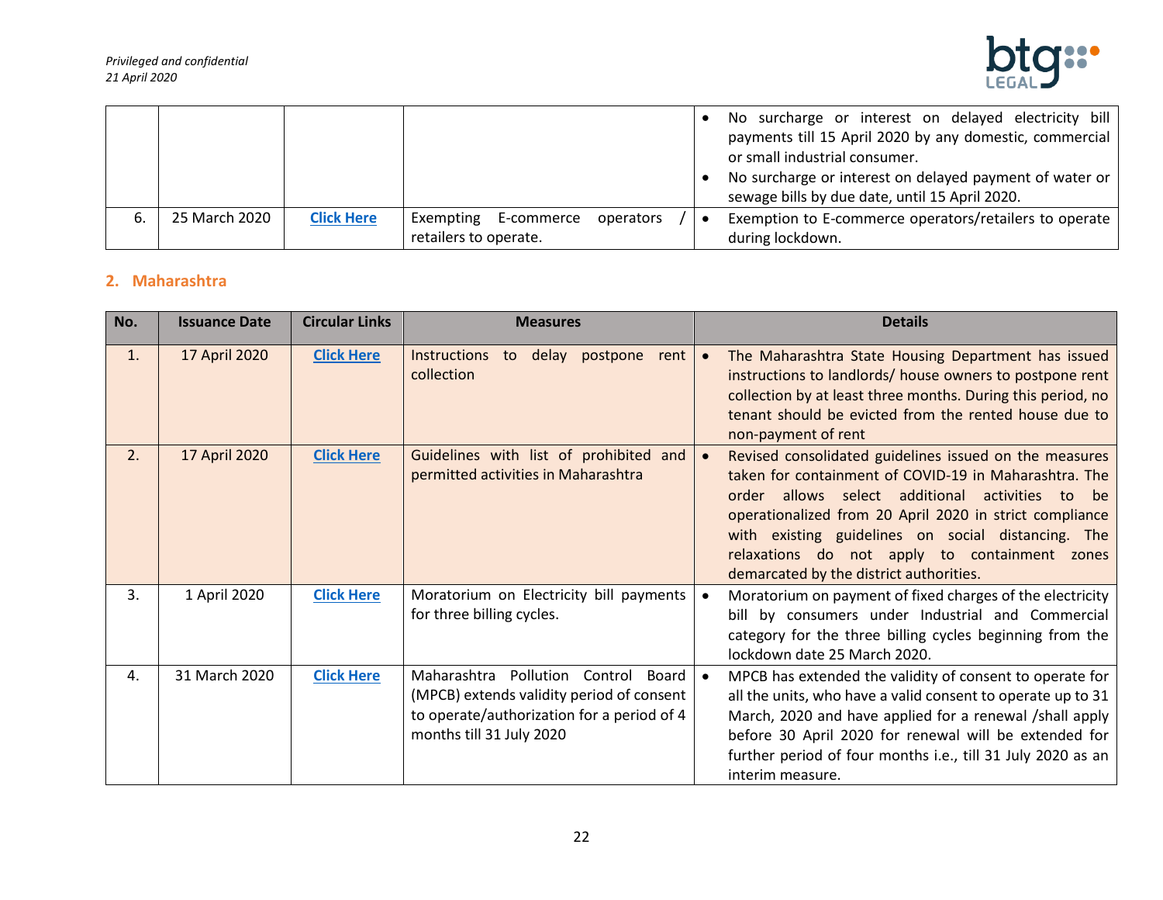

|    |               |                   |                       |            |           |           | No surcharge or interest on delayed electricity bill    |
|----|---------------|-------------------|-----------------------|------------|-----------|-----------|---------------------------------------------------------|
|    |               |                   |                       |            |           |           | payments till 15 April 2020 by any domestic, commercial |
|    |               |                   |                       |            |           |           | or small industrial consumer.                           |
|    |               |                   |                       |            |           |           | No surcharge or interest on delayed payment of water or |
|    |               |                   |                       |            |           |           | sewage bills by due date, until 15 April 2020.          |
| ь. | 25 March 2020 | <b>Click Here</b> | Exempting             | E-commerce | operators | $\bullet$ | Exemption to E-commerce operators/retailers to operate  |
|    |               |                   | retailers to operate. |            |           |           | during lockdown.                                        |

## <span id="page-21-0"></span>**2. Maharashtra**

| No.            | <b>Issuance Date</b> | <b>Circular Links</b> | <b>Measures</b>                                                                                                                                               | <b>Details</b>                                                                                                                                                                                                                                                                                                                                                                                  |
|----------------|----------------------|-----------------------|---------------------------------------------------------------------------------------------------------------------------------------------------------------|-------------------------------------------------------------------------------------------------------------------------------------------------------------------------------------------------------------------------------------------------------------------------------------------------------------------------------------------------------------------------------------------------|
| $\mathbf{1}$ . | 17 April 2020        | <b>Click Here</b>     | <b>Instructions</b><br>to delay postpone<br>rent<br>collection                                                                                                | The Maharashtra State Housing Department has issued<br>$\bullet$<br>instructions to landlords/ house owners to postpone rent<br>collection by at least three months. During this period, no<br>tenant should be evicted from the rented house due to<br>non-payment of rent                                                                                                                     |
| 2.             | 17 April 2020        | <b>Click Here</b>     | Guidelines with list of prohibited and<br>permitted activities in Maharashtra                                                                                 | Revised consolidated guidelines issued on the measures<br>$\bullet$<br>taken for containment of COVID-19 in Maharashtra. The<br>order allows select additional<br>activities to be<br>operationalized from 20 April 2020 in strict compliance<br>with existing guidelines on social distancing. The<br>relaxations do not apply to containment zones<br>demarcated by the district authorities. |
| 3.             | 1 April 2020         | <b>Click Here</b>     | Moratorium on Electricity bill payments<br>for three billing cycles.                                                                                          | Moratorium on payment of fixed charges of the electricity<br>$\bullet$<br>bill by consumers under Industrial and Commercial<br>category for the three billing cycles beginning from the<br>lockdown date 25 March 2020.                                                                                                                                                                         |
| 4.             | 31 March 2020        | <b>Click Here</b>     | Maharashtra<br>Pollution Control Board<br>(MPCB) extends validity period of consent<br>to operate/authorization for a period of 4<br>months till 31 July 2020 | MPCB has extended the validity of consent to operate for<br>$\bullet$<br>all the units, who have a valid consent to operate up to 31<br>March, 2020 and have applied for a renewal /shall apply<br>before 30 April 2020 for renewal will be extended for<br>further period of four months i.e., till 31 July 2020 as an<br>interim measure.                                                     |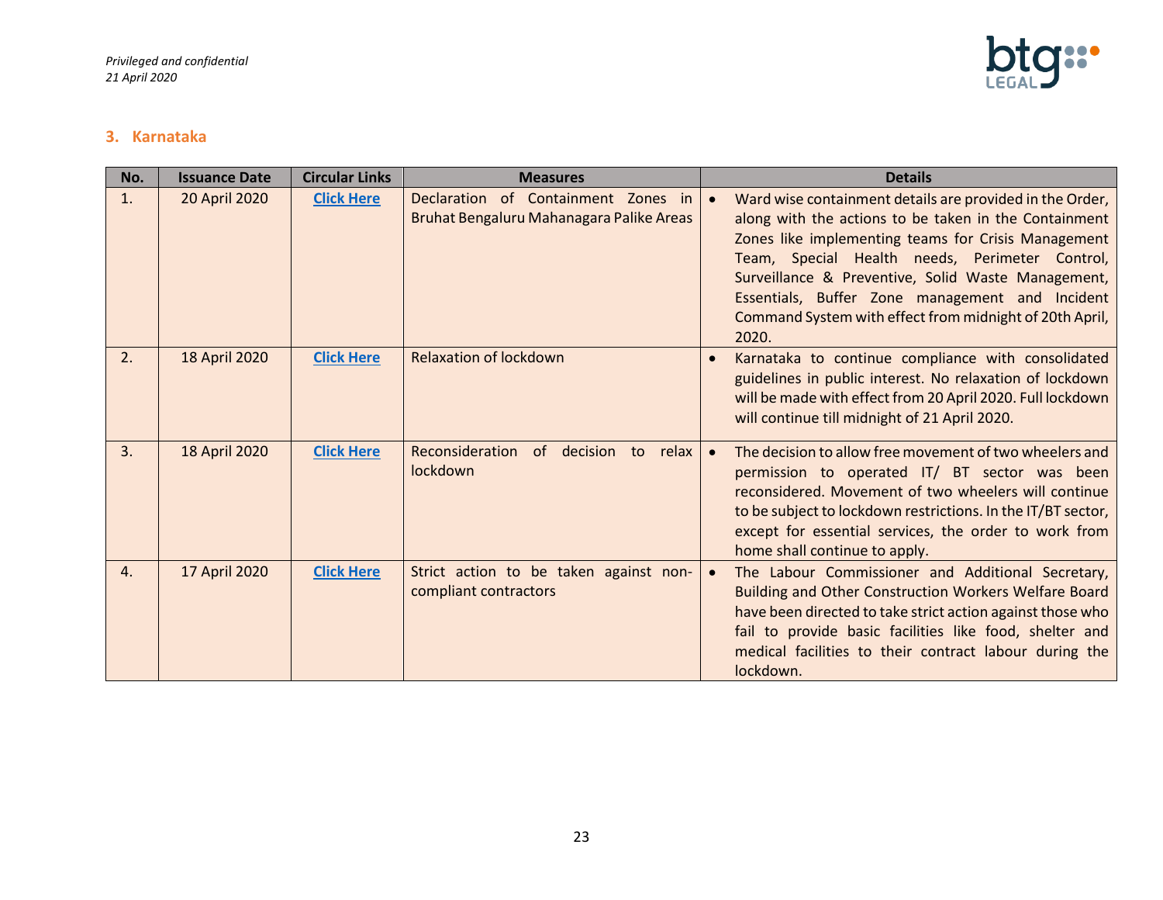

#### <span id="page-22-0"></span>**3. Karnataka**

| No. | <b>Issuance Date</b> | <b>Circular Links</b> | <b>Measures</b>                                                                 | <b>Details</b>                                                                                                                                                                                                                                                                                                                                                                                          |
|-----|----------------------|-----------------------|---------------------------------------------------------------------------------|---------------------------------------------------------------------------------------------------------------------------------------------------------------------------------------------------------------------------------------------------------------------------------------------------------------------------------------------------------------------------------------------------------|
| 1.  | 20 April 2020        | <b>Click Here</b>     | Declaration of Containment Zones in<br>Bruhat Bengaluru Mahanagara Palike Areas | Ward wise containment details are provided in the Order,<br>along with the actions to be taken in the Containment<br>Zones like implementing teams for Crisis Management<br>Team, Special Health needs, Perimeter Control,<br>Surveillance & Preventive, Solid Waste Management,<br>Essentials, Buffer Zone management and Incident<br>Command System with effect from midnight of 20th April,<br>2020. |
| 2.  | 18 April 2020        | <b>Click Here</b>     | <b>Relaxation of lockdown</b>                                                   | Karnataka to continue compliance with consolidated<br>guidelines in public interest. No relaxation of lockdown<br>will be made with effect from 20 April 2020. Full lockdown<br>will continue till midnight of 21 April 2020.                                                                                                                                                                           |
| 3.  | 18 April 2020        | <b>Click Here</b>     | Reconsideration<br>of decision<br>to<br>relax<br>lockdown                       | The decision to allow free movement of two wheelers and<br>permission to operated IT/ BT sector was been<br>reconsidered. Movement of two wheelers will continue<br>to be subject to lockdown restrictions. In the IT/BT sector,<br>except for essential services, the order to work from<br>home shall continue to apply.                                                                              |
| 4.  | 17 April 2020        | <b>Click Here</b>     | Strict action to be taken against non-<br>compliant contractors                 | The Labour Commissioner and Additional Secretary,<br><b>Building and Other Construction Workers Welfare Board</b><br>have been directed to take strict action against those who<br>fail to provide basic facilities like food, shelter and<br>medical facilities to their contract labour during the<br>lockdown.                                                                                       |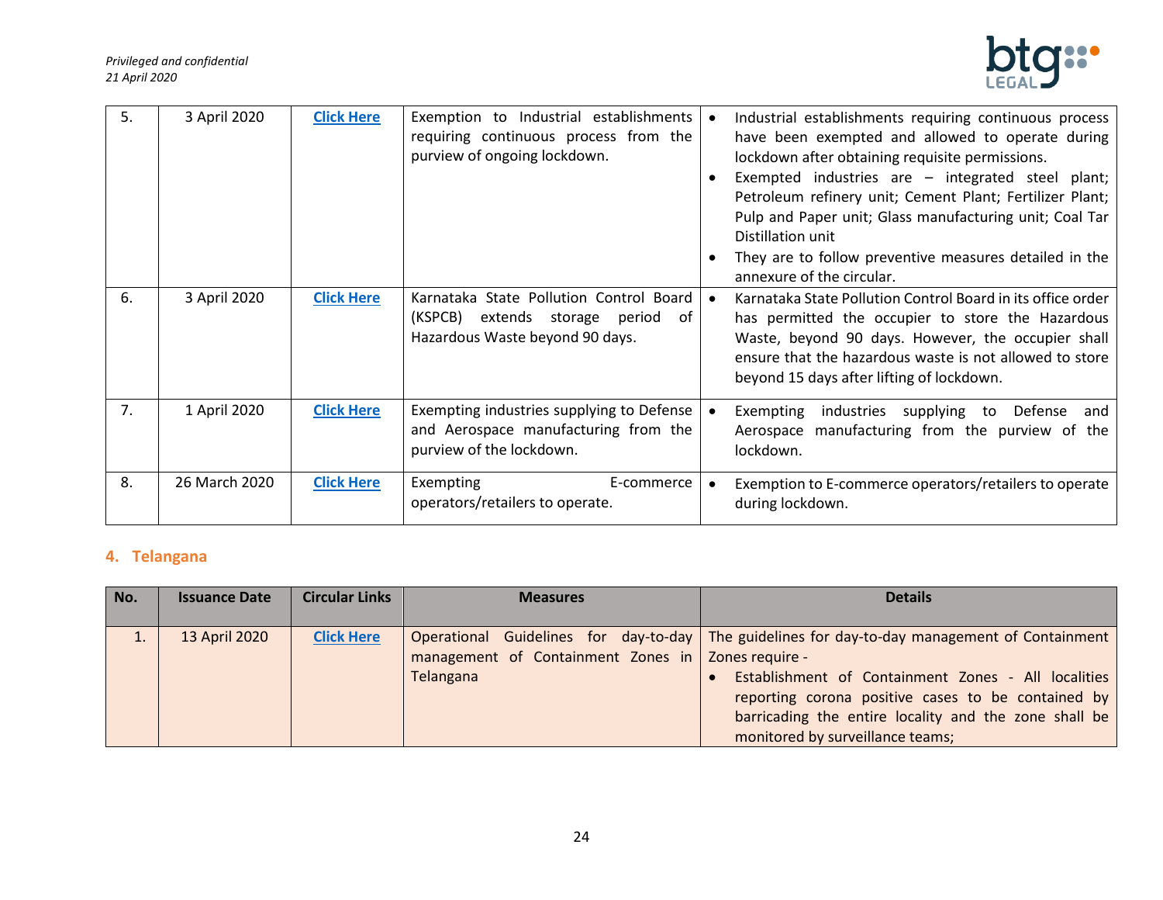

| 5. | 3 April 2020  | <b>Click Here</b> | Exemption to Industrial establishments<br>requiring continuous process from the<br>purview of ongoing lockdown.        | Industrial establishments requiring continuous process<br>have been exempted and allowed to operate during<br>lockdown after obtaining requisite permissions.                                                                                                                  |
|----|---------------|-------------------|------------------------------------------------------------------------------------------------------------------------|--------------------------------------------------------------------------------------------------------------------------------------------------------------------------------------------------------------------------------------------------------------------------------|
|    |               |                   |                                                                                                                        | Exempted industries are - integrated steel plant;<br>Petroleum refinery unit; Cement Plant; Fertilizer Plant;<br>Pulp and Paper unit; Glass manufacturing unit; Coal Tar<br>Distillation unit                                                                                  |
|    |               |                   |                                                                                                                        | They are to follow preventive measures detailed in the<br>annexure of the circular.                                                                                                                                                                                            |
| 6. | 3 April 2020  | <b>Click Here</b> | Karnataka State Pollution Control Board   •<br>(KSPCB) extends storage period<br>of<br>Hazardous Waste beyond 90 days. | Karnataka State Pollution Control Board in its office order<br>has permitted the occupier to store the Hazardous<br>Waste, beyond 90 days. However, the occupier shall<br>ensure that the hazardous waste is not allowed to store<br>beyond 15 days after lifting of lockdown. |
| 7. | 1 April 2020  | <b>Click Here</b> | Exempting industries supplying to Defense  <br>and Aerospace manufacturing from the<br>purview of the lockdown.        | industries supplying to Defense and<br>Exempting<br>Aerospace manufacturing from the purview of the<br>lockdown.                                                                                                                                                               |
| 8. | 26 March 2020 | <b>Click Here</b> | Exempting<br>E-commerce  <br>operators/retailers to operate.                                                           | Exemption to E-commerce operators/retailers to operate<br>during lockdown.                                                                                                                                                                                                     |

## <span id="page-23-0"></span>**4. Telangana**

| No. | <b>Issuance Date</b> | <b>Circular Links</b> | <b>Measures</b>                                      | <b>Details</b>                                                                                  |
|-----|----------------------|-----------------------|------------------------------------------------------|-------------------------------------------------------------------------------------------------|
|     |                      |                       |                                                      |                                                                                                 |
|     | 13 April 2020        | <b>Click Here</b>     |                                                      | Operational Guidelines for day-to-day   The guidelines for day-to-day management of Containment |
|     |                      |                       | management of Containment Zones in   Zones require - |                                                                                                 |
|     |                      |                       | Telangana                                            | Establishment of Containment Zones - All localities                                             |
|     |                      |                       |                                                      | reporting corona positive cases to be contained by                                              |
|     |                      |                       |                                                      | barricading the entire locality and the zone shall be                                           |
|     |                      |                       |                                                      | monitored by surveillance teams;                                                                |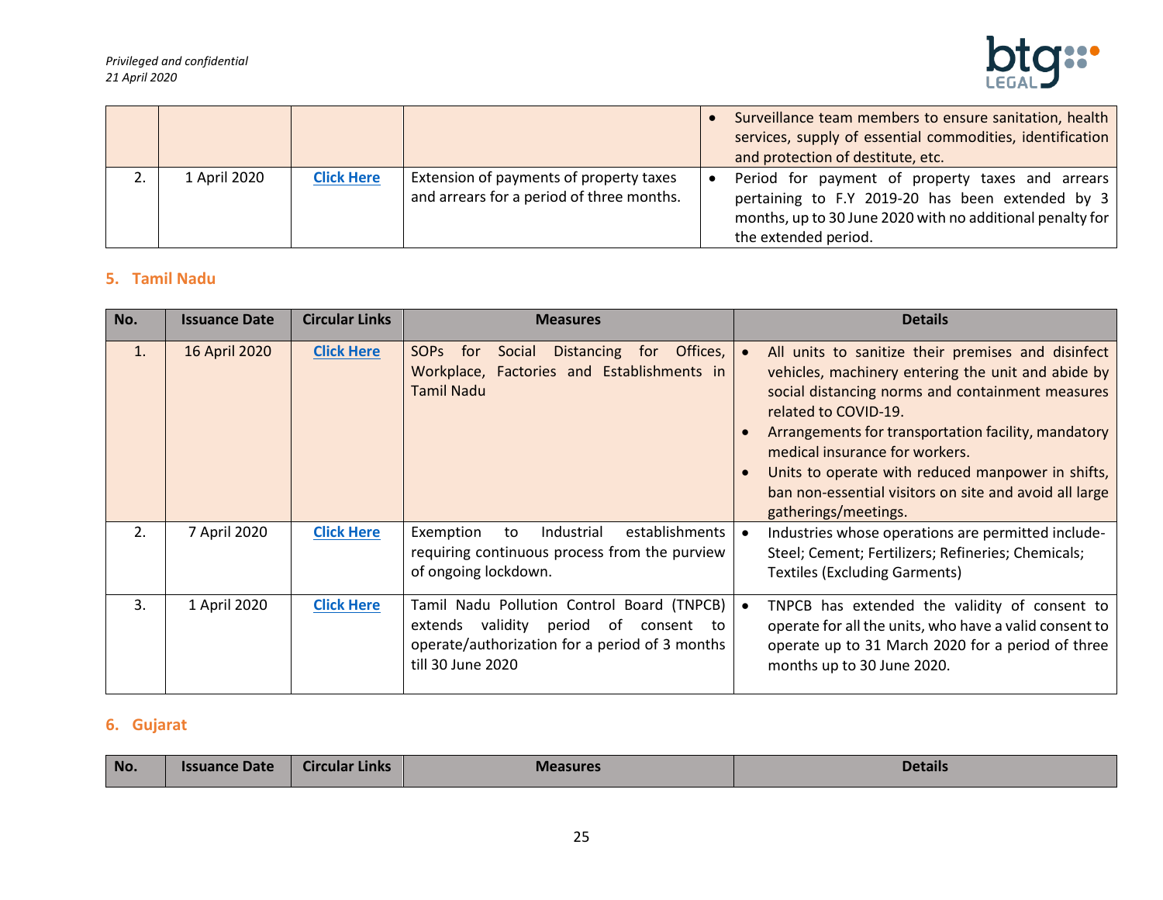

|              |                   |                                                                                      | Surveillance team members to ensure sanitation, health<br>services, supply of essential commodities, identification<br>and protection of destitute, etc.                                  |
|--------------|-------------------|--------------------------------------------------------------------------------------|-------------------------------------------------------------------------------------------------------------------------------------------------------------------------------------------|
| 1 April 2020 | <b>Click Here</b> | Extension of payments of property taxes<br>and arrears for a period of three months. | Period for payment of property taxes and arrears<br>pertaining to F.Y 2019-20 has been extended by 3<br>months, up to 30 June 2020 with no additional penalty for<br>the extended period. |

# <span id="page-24-0"></span>**5. Tamil Nadu**

| No. | <b>Issuance Date</b> | <b>Circular Links</b> | <b>Measures</b>                                                                                                                                                     | <b>Details</b>                                                                                                                                                                                                                                                                                                                                                                                                       |
|-----|----------------------|-----------------------|---------------------------------------------------------------------------------------------------------------------------------------------------------------------|----------------------------------------------------------------------------------------------------------------------------------------------------------------------------------------------------------------------------------------------------------------------------------------------------------------------------------------------------------------------------------------------------------------------|
| 1.  | 16 April 2020        | <b>Click Here</b>     | <b>SOPS</b><br>Offices,<br>Distancing for<br>for<br>Social<br>Workplace, Factories and Establishments in<br><b>Tamil Nadu</b>                                       | All units to sanitize their premises and disinfect<br>vehicles, machinery entering the unit and abide by<br>social distancing norms and containment measures<br>related to COVID-19.<br>Arrangements for transportation facility, mandatory<br>medical insurance for workers.<br>Units to operate with reduced manpower in shifts,<br>ban non-essential visitors on site and avoid all large<br>gatherings/meetings. |
| 2.  | 7 April 2020         | <b>Click Here</b>     | establishments<br>Industrial<br>Exemption<br>to<br>requiring continuous process from the purview<br>of ongoing lockdown.                                            | Industries whose operations are permitted include-<br>Steel; Cement; Fertilizers; Refineries; Chemicals;<br><b>Textiles (Excluding Garments)</b>                                                                                                                                                                                                                                                                     |
| 3.  | 1 April 2020         | <b>Click Here</b>     | Tamil Nadu Pollution Control Board (TNPCB)<br>extends validity<br>period<br>of<br>consent to<br>operate/authorization for a period of 3 months<br>till 30 June 2020 | TNPCB has extended the validity of consent to<br>operate for all the units, who have a valid consent to<br>operate up to 31 March 2020 for a period of three<br>months up to 30 June 2020.                                                                                                                                                                                                                           |

## <span id="page-24-1"></span>**6. Gujarat**

| No. | ,,,,,, | Links<br>JI Culdi. |  | <b>Details</b> |
|-----|--------|--------------------|--|----------------|
|-----|--------|--------------------|--|----------------|